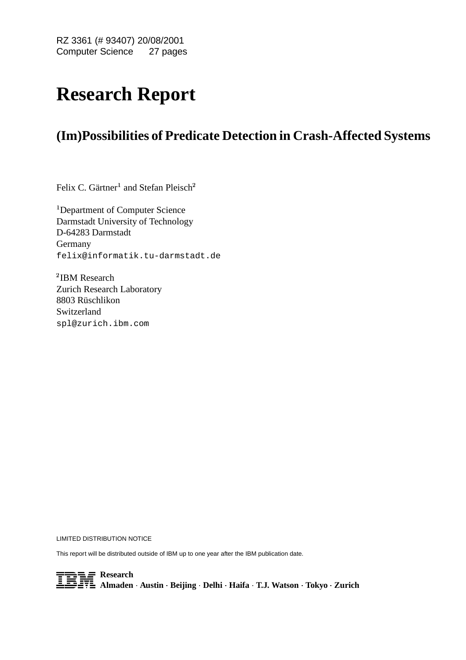RZ 3361 (# 93407) 20/08/2001 Computer Science 27 pages

# **Research Report**

# **(Im)Possibilities of Predicate Detection in Crash-Affected Systems**

Felix C. Gärtner $^1$  and Stefan Pleisch $^2$ 

<sup>1</sup>Department of Computer Science Darmstadt University of Technology D-64283 Darmstadt Germany felix@informatik.tu-darmstadt.de

<sup>2</sup>IBM Research Zurich Research Laboratory 8803 Rüschlikon Switzerland spl@zurich.ibm.com

LIMITED DISTRIBUTION NOTICE

This report will be distributed outside of IBM up to one year after the IBM publication date.

- **Research Almaden Austin Beijing Delhi Haifa T.J. Watson Tokyo Zurich**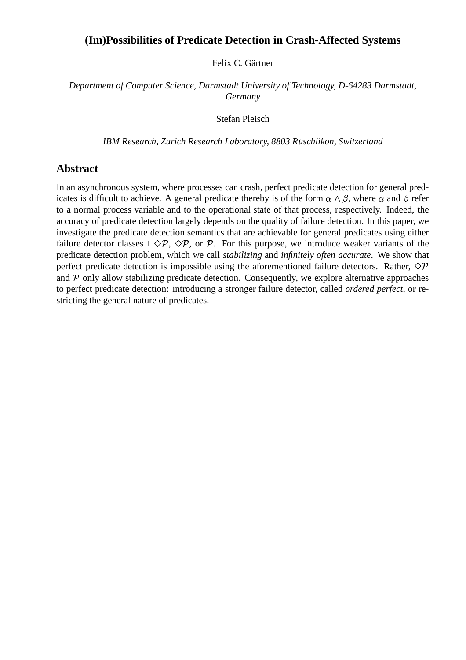# **(Im)Possibilities of Predicate Detection in Crash-Affected Systems**

Felix C. Gärtner

*Department of Computer Science, Darmstadt University of Technology, D-64283 Darmstadt, Germany*

Stefan Pleisch

*IBM Research, Zurich Research Laboratory, 8803 Rusc ¨ hlikon, Switzerland*

# **Abstract**

In an asynchronous system, where processes can crash, perfect predicate detection for general predicates is difficult to achieve. A general predicate thereby is of the form  $\alpha \wedge \beta$ , where  $\alpha$  and  $\beta$  refer to a normal process variable and to the operational state of that process, respectively. Indeed, the accuracy of predicate detection largely depends on the quality of failure detection. In this paper, we investigate the predicate detection semantics that are achievable for general predicates using either failure detector classes  $\Box \Diamond \mathcal{P}, \Diamond \mathcal{P}$ , or  $\mathcal{P}$ . For this purpose, we introduce weaker variants of the predicate detection problem, which we call *stabilizing* and *infinitely often accurate*. We show that perfect predicate detection is impossible using the aforementioned failure detectors. Rather,  $\Diamond \mathcal{P}$ and  $P$  only allow stabilizing predicate detection. Consequently, we explore alternative approaches to perfect predicate detection: introducing a stronger failure detector, called *ordered perfect*, or restricting the general nature of predicates.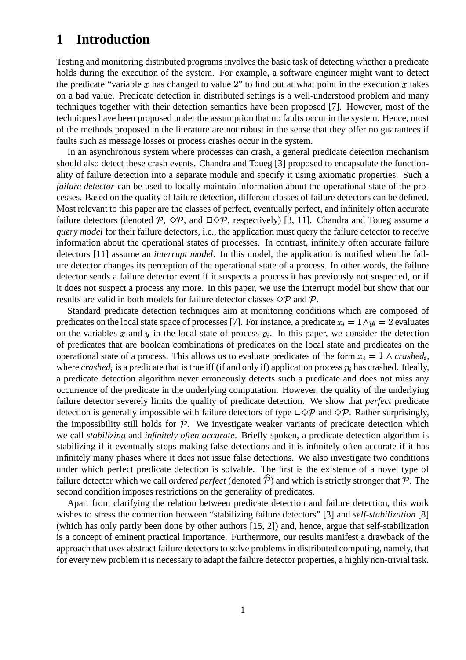# **1 Introduction**

Testing and monitoring distributed programs involves the basic task of detecting whether a predicate holds during the execution of the system. For example, a software engineer might want to detect the predicate "variable x has changed to value 2" to find out at what point in the execution x takes on a bad value. Predicate detection in distributed settings is a well-understood problem and many techniques together with their detection semantics have been proposed [7]. However, most of the techniques have been proposed under the assumption that no faults occur in the system. Hence, most of the methods proposed in the literature are not robust in the sense that they offer no guarantees if faults such as message losses or process crashes occur in the system.

In an asynchronous system where processes can crash, a general predicate detection mechanism should also detect these crash events. Chandra and Toueg [3] proposed to encapsulate the functionality of failure detection into a separate module and specify it using axiomatic properties. Such a *failure detector* can be used to locally maintain information about the operational state of the processes. Based on the quality of failure detection, different classes of failure detectors can be defined. Most relevant to this paper are the classes of perfect, eventually perfect, and infinitely often accurate failure detectors (denoted  $P$ ,  $\Diamond P$ , and  $\Box \Diamond P$ , respectively) [3, 11]. Chandra and Toueg assume a *query model* for their failure detectors, i.e., the application must query the failure detector to receive information about the operational states of processes. In contrast, infinitely often accurate failure detectors [11] assume an *interrupt model*. In this model, the application is notified when the failure detector changes its perception of the operational state of a process. In other words, the failure detector sends a failure detector event if it suspects a process it has previously not suspected, or if it does not suspect a process any more. In this paper, we use the interrupt model but show that our results are valid in both models for failure detector classes  $\Diamond \mathcal{P}$  and  $\mathcal{P}$ .

Standard predicate detection techniques aim at monitoring conditions which are composed of predicates on the local state space of processes [7]. For instance, a predicate  $x_i = 1 \land y_i = 2$  evaluates on the variables x and y in the local state of process  $p_i$ . In this paper, we consider the detection of predicates that are boolean combinations of predicates on the local state and predicates on the operational state of a process. This allows us to evaluate predicates of the form  $x_i = 1 \land crashed_i$ , where  $crashed<sub>i</sub>$  is a predicate that is true iff (if and only if) application process  $p<sub>i</sub>$  has crashed. Ideally, a predicate detection algorithm never erroneously detects such a predicate and does not miss any occurrence of the predicate in the underlying computation. However, the quality of the underlying failure detector severely limits the quality of predicate detection. We show that *perfect* predicate detection is generally impossible with failure detectors of type  $\Box \Diamond \mathcal{P}$  and  $\Diamond \mathcal{P}$ . Rather surprisingly, the impossibility still holds for  $P$ . We investigate weaker variants of predicate detection which we call *stabilizing* and *infinitely often accurate*. Briefly spoken, a predicate detection algorithm is stabilizing if it eventually stops making false detections and it is infinitely often accurate if it has infinitely many phases where it does not issue false detections. We also investigate two conditions under which perfect predicate detection is solvable. The first is the existence of a novel type of failure detector which we call *ordered perfect* (denoted  $\hat{P}$ ) and which is strictly stronger that  $P$ . The second condition imposes restrictions on the generality of predicates.

Apart from clarifying the relation between predicate detection and failure detection, this work wishes to stress the connection between "stabilizing failure detectors" [3] and *self-stabilization* [8] (which has only partly been done by other authors [15, 2]) and, hence, argue that self-stabilization is a concept of eminent practical importance. Furthermore, our results manifest a drawback of the approach that uses abstract failure detectors to solve problems in distributed computing, namely, that for every new problem it is necessary to adapt the failure detector properties, a highly non-trivial task.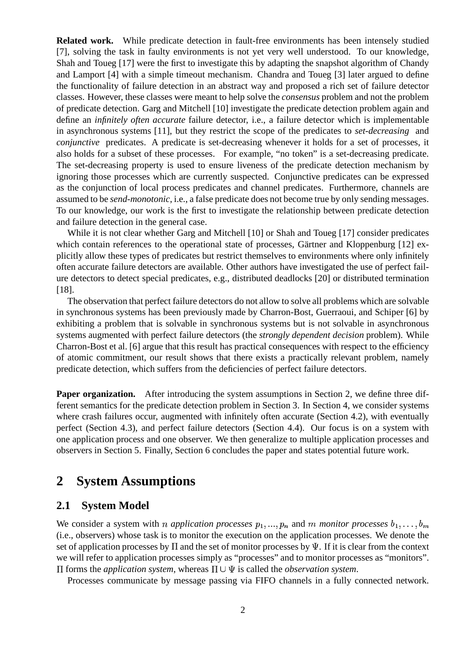**Related work.** While predicate detection in fault-free environments has been intensely studied [7], solving the task in faulty environments is not yet very well understood. To our knowledge, Shah and Toueg [17] were the first to investigate this by adapting the snapshot algorithm of Chandy and Lamport [4] with a simple timeout mechanism. Chandra and Toueg [3] later argued to define the functionality of failure detection in an abstract way and proposed a rich set of failure detector classes. However, these classes were meant to help solve the *consensus* problem and not the problem of predicate detection. Garg and Mitchell [10] investigate the predicate detection problem again and define an *infinitely often accurate* failure detector, i.e., a failure detector which is implementable in asynchronous systems [11], but they restrict the scope of the predicates to *set-decreasing* and *conjunctive* predicates. A predicate is set-decreasing whenever it holds for a set of processes, it also holds for a subset of these processes. For example, "no token" is a set-decreasing predicate. The set-decreasing property is used to ensure liveness of the predicate detection mechanism by ignoring those processes which are currently suspected. Conjunctive predicates can be expressed as the conjunction of local process predicates and channel predicates. Furthermore, channels are assumed to be *send-monotonic*, i.e., a false predicate does not become true by only sending messages. To our knowledge, our work is the first to investigate the relationship between predicate detection and failure detection in the general case.

While it is not clear whether Garg and Mitchell [10] or Shah and Toueg [17] consider predicates which contain references to the operational state of processes, Gärtner and Kloppenburg [12] explicitly allow these types of predicates but restrict themselves to environments where only infinitely often accurate failure detectors are available. Other authors have investigated the use of perfect failure detectors to detect special predicates, e.g., distributed deadlocks [20] or distributed termination [18].

The observation that perfect failure detectors do not allow to solve all problems which are solvable in synchronous systems has been previously made by Charron-Bost, Guerraoui, and Schiper [6] by exhibiting a problem that is solvable in synchronous systems but is not solvable in asynchronous systems augmented with perfect failure detectors (the *strongly dependent decision* problem). While Charron-Bost et al. [6] argue that this result has practical consequences with respect to the efficiency of atomic commitment, our result shows that there exists a practically relevant problem, namely predicate detection, which suffers from the deficiencies of perfect failure detectors.

**Paper organization.** After introducing the system assumptions in Section 2, we define three different semantics for the predicate detection problem in Section 3. In Section 4, we consider systems where crash failures occur, augmented with infinitely often accurate (Section 4.2), with eventually perfect (Section 4.3), and perfect failure detectors (Section 4.4). Our focus is on a system with one application process and one observer. We then generalize to multiple application processes and observers in Section 5. Finally, Section 6 concludes the paper and states potential future work.

# **2 System Assumptions**

## **2.1 System Model**

We consider a system with *n application processes*  $p_1, ..., p_n$  and *m monitor processes*  $b_1, ..., b_m$ (i.e., observers) whose task is to monitor the execution on the application processes. We denote the set of application processes by  $\Pi$  and the set of monitor processes by  $\Psi$ . If it is clear from the context we will refer to application processes simply as "processes" and to monitor processes as "monitors".  $\Pi$  forms the *application system*, whereas  $\Pi \cup \Psi$  is called the *observation system*.

Processes communicate by message passing via FIFO channels in a fully connected network.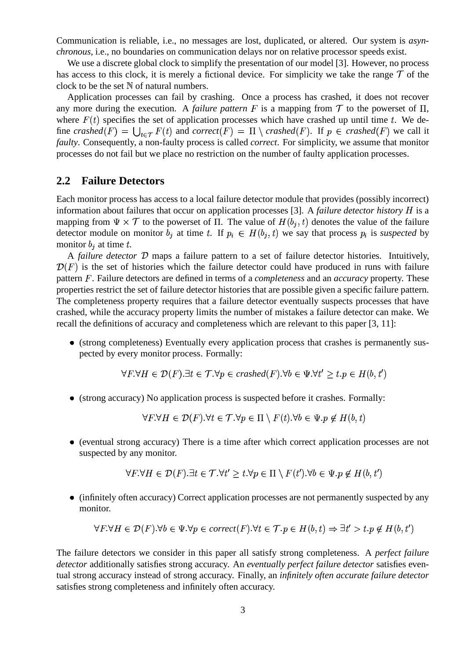Communication is reliable, i.e., no messages are lost, duplicated, or altered. Our system is *asynchronous*, i.e., no boundaries on communication delays nor on relative processor speeds exist.

We use a discrete global clock to simplify the presentation of our model [3]. However, no process has access to this clock, it is merely a fictional device. For simplicity we take the range  $\mathcal T$  of the clock to be the set  $N$  of natural numbers.

Application processes can fail by crashing. Once a process has crashed, it does not recover any more during the execution. A *failure pattern* F is a mapping from  $\mathcal T$  to the powerset of  $\Pi$ , where  $F(t)$  specifies the set of application processes which have crashed up until time t. We define *crashed*(F) =  $\bigcup_{t \in \tau} F(t)$  and *correct*(F) =  $\Pi \setminus \text{crashed}(F)$ . If  $p \in \text{crashed}(F)$  we call it *faulty*. Consequently, a non-faulty process is called *correct*. For simplicity, we assume that monitor processes do not fail but we place no restriction on the number of faulty application processes.

## **2.2 Failure Detectors**

Each monitor process has access to a local failure detector module that provides (possibly incorrect) information about failures that occur on application processes [3]. A *failure detector history* is a mapping from  $\Psi \times \mathcal{T}$  to the powerset of  $\Pi$ . The value of  $H(b_j, t)$  denotes the value of the failure detector module on monitor  $b_j$  at time t. If  $p_i \in H(b_j, t)$  we say that process  $p_i$  is *suspected* by monitor  $b_j$  at time t.

A *failure detector*  $D$  maps a failure pattern to a set of failure detector histories. Intuitively,  ${\mathcal D}(F)$  is the set of histories which the failure detector could have produced in runs with failure pattern F. Failure detectors are defined in terms of a *completeness* and an *accuracy* property. These properties restrict the set of failure detector histories that are possible given a specific failure pattern. The completeness property requires that a failure detector eventually suspects processes that have crashed, while the accuracy property limits the number of mistakes a failure detector can make. We recall the definitions of accuracy and completeness which are relevant to this paper [3, 11]:

 (strong completeness) Eventually every application process that crashes is permanently suspected by every monitor process. Formally:

$$
\forall F. \forall H \in \mathcal{D}(F). \exists t \in \mathcal{T}.\forall p \in crashed(F). \forall b \in \Psi. \forall t' \geq t.p \in H(b, t')
$$

(strong accuracy) No application process is suspected before it crashes. Formally:

 $\forall F \forall H \in \mathcal{D}(F)$ .  $\forall t \in \mathcal{T}$ .  $\forall p \in \Pi \setminus F(t)$ .  $\forall b \in \Psi$ .  $p \notin H(b, t)$ 

 (eventual strong accuracy) There is a time after which correct application processes are not suspected by any monitor.

$$
\forall F \forall H \in \mathcal{D}(F) \exists t \in \mathcal{T} \forall t' \ge t \forall p \in \Pi \setminus F(t') \forall b \in \Psi \exists p \notin H(b, t')
$$

 (infinitely often accuracy) Correct application processes are not permanently suspected by any monitor.

$$
\forall F. \forall H \in \mathcal{D}(F). \forall b \in \Psi. \forall p \in correct(F). \forall t \in \mathcal{T}. p \in H(b, t) \Rightarrow \exists t' > t. p \notin H(b, t')
$$

The failure detectors we consider in this paper all satisfy strong completeness. A *perfect failure detector* additionally satisfies strong accuracy. An *eventually perfect failure detector* satisfies eventual strong accuracy instead of strong accuracy. Finally, an *infinitely often accurate failure detector* satisfies strong completeness and infinitely often accuracy.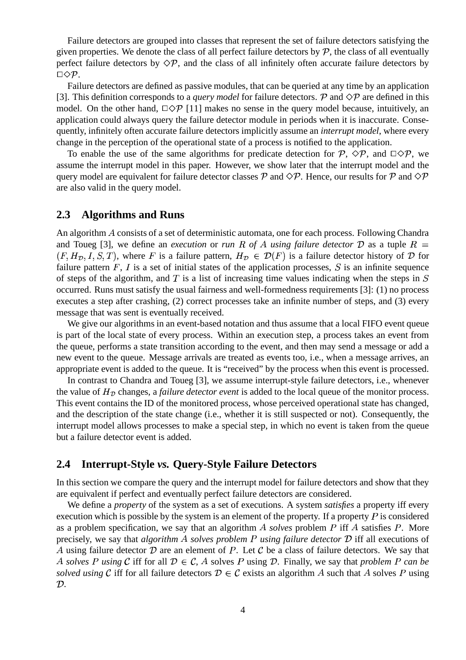Failure detectors are grouped into classes that represent the set of failure detectors satisfying the given properties. We denote the class of all perfect failure detectors by  $P$ , the class of all eventually perfect failure detectors by  $\Diamond \mathcal{P}$ , and the class of all infinitely often accurate failure detectors by  $\square \Diamond \mathcal{P}.$ 

Failure detectors are defined as passive modules, that can be queried at any time by an application [3]. This definition corresponds to a *query model* for failure detectors.  $P$  and  $\Diamond P$  are defined in this model. On the other hand,  $\Box \Diamond \mathcal{P}$  [11] makes no sense in the query model because, intuitively, an application could always query the failure detector module in periods when it is inaccurate. Consequently, infinitely often accurate failure detectors implicitly assume an *interrupt model*, where every change in the perception of the operational state of a process is notified to the application.

To enable the use of the same algorithms for predicate detection for P,  $\Diamond P$ , and  $\Box \Diamond P$ , we assume the interrupt model in this paper. However, we show later that the interrupt model and the query model are equivalent for failure detector classes  $\cal P$  and  $\diamondsuit\cal P$ . Hence, our results for  $\cal P$  and  $\diamondsuit\cal P$ are also valid in the query model.

### **2.3 Algorithms and Runs**

An algorithm A consists of a set of deterministic automata, one for each process. Following Chandra and Toueg [3], we define an *execution* or *run* R of A using failure detector D as a tuple R =  $(F, H_{\mathcal{D}}, I, S, T)$ , where F is a failure pattern,  $H_{\mathcal{D}} \in \mathcal{D}(F)$  is a failure detector history of  $\mathcal D$  for failure pattern  $F$ ,  $I$  is a set of initial states of the application processes,  $S$  is an infinite sequence of steps of the algorithm, and  $T$  is a list of increasing time values indicating when the steps in  $S$ occurred. Runs must satisfy the usual fairness and well-formedness requirements [3]: (1) no process executes a step after crashing, (2) correct processes take an infinite number of steps, and (3) every message that was sent is eventually received.

We give our algorithms in an event-based notation and thus assume that a local FIFO event queue is part of the local state of every process. Within an execution step, a process takes an event from the queue, performs a state transition according to the event, and then may send a message or add a new event to the queue. Message arrivals are treated as events too, i.e., when a message arrives, an appropriate event is added to the queue. It is "received" by the process when this event is processed.

In contrast to Chandra and Toueg [3], we assume interrupt-style failure detectors, i.e., whenever the value of  $H<sub>D</sub>$  changes, a *failure detector event* is added to the local queue of the monitor process. This event contains the ID of the monitored process, whose perceived operational state has changed, and the description of the state change (i.e., whether it is still suspected or not). Consequently, the interrupt model allows processes to make a special step, in which no event is taken from the queue but a failure detector event is added.

### **2.4 Interrupt-Style** *vs.* **Query-Style Failure Detectors**

In this section we compare the query and the interrupt model for failure detectors and show that they are equivalent if perfect and eventually perfect failure detectors are considered.

We define a *property* of the system as a set of executions. A system *satisfies* a property iff every execution which is possible by the system is an element of the property. If a property  $P$  is considered as a problem specification, we say that an algorithm  $A$  solves problem  $P$  iff  $A$  satisfies  $P$ . More precisely, we say that *algorithm A solves problem P using failure detector* D iff all executions of A using failure detector  $D$  are an element of P. Let C be a class of failure detectors. We say that A solves P using C iff for all  $\mathcal{D} \in \mathcal{C}$ , A solves P using D. Finally, we say that *problem* P can be solved using C iff for all failure detectors  $D \in C$  exists an algorithm A such that A solves P using  $\mathcal{D}$ .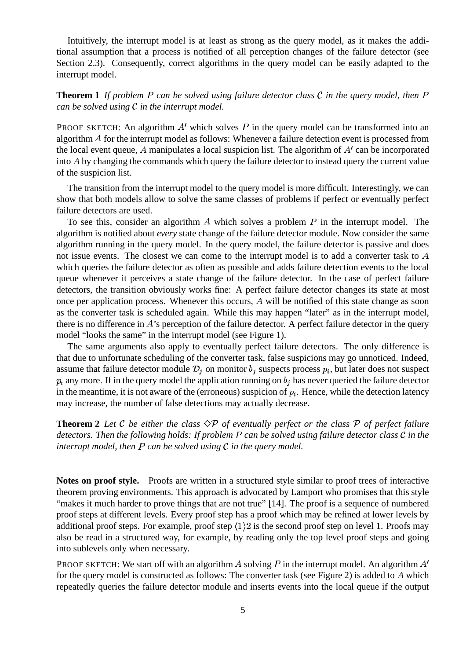Intuitively, the interrupt model is at least as strong as the query model, as it makes the additional assumption that a process is notified of all perception changes of the failure detector (see Section 2.3). Consequently, correct algorithms in the query model can be easily adapted to the interrupt model.

**Theorem 1** If problem P can be solved using failure detector class C in the query model, then P *can be solved using*  $C$  *in the interrupt model.* 

PROOF SKETCH: An algorithm  $A'$  which solves P in the query model can be transformed into an algorithm  $A$  for the interrupt model as follows: Whenever a failure detection event is processed from the local event queue,  $A$  manipulates a local suspicion list. The algorithm of  $A'$  can be incorporated into  $A$  by changing the commands which query the failure detector to instead query the current value of the suspicion list.

The transition from the interrupt model to the query model is more difficult. Interestingly, we can show that both models allow to solve the same classes of problems if perfect or eventually perfect failure detectors are used.

To see this, consider an algorithm A which solves a problem  $P$  in the interrupt model. The algorithm is notified about *every* state change of the failure detector module. Now consider the same algorithm running in the query model. In the query model, the failure detector is passive and does not issue events. The closest we can come to the interrupt model is to add a converter task to A which queries the failure detector as often as possible and adds failure detection events to the local queue whenever it perceives a state change of the failure detector. In the case of perfect failure detectors, the transition obviously works fine: A perfect failure detector changes its state at most once per application process. Whenever this occurs, A will be notified of this state change as soon as the converter task is scheduled again. While this may happen "later" as in the interrupt model, there is no difference in  $A$ 's perception of the failure detector. A perfect failure detector in the query model "looks the same" in the interrupt model (see Figure 1).

The same arguments also apply to eventually perfect failure detectors. The only difference is that due to unfortunate scheduling of the converter task, false suspicions may go unnoticed. Indeed, assume that failure detector module  $\mathcal{D}_j$  on monitor  $b_j$  suspects process  $p_i$ , but later does not suspect  $p_i$  any more. If in the query model the application running on  $b_j$  has never queried the failure detector in the meantime, it is not aware of the (erroneous) suspicion of  $p_i$ . Hence, while the detection latency may increase, the number of false detections may actually decrease.

**Theorem 2** Let C be either the class  $\Diamond P$  of eventually perfect or the class P of perfect failure *detectors. Then the following holds: If problem can be solved using failure detector class in the interrupt model, then*  $P$  *can be solved using*  $C$  *in the query model.* 

**Notes on proof style.** Proofs are written in a structured style similar to proof trees of interactive theorem proving environments. This approach is advocated by Lamport who promises that this style "makes it much harder to prove things that are not true" [14]. The proof is a sequence of numbered proof steps at different levels. Every proof step has a proof which may be refined at lower levels by additional proof steps. For example, proof step  $\langle 1 \rangle 2$  is the second proof step on level 1. Proofs may also be read in a structured way, for example, by reading only the top level proof steps and going into sublevels only when necessary.

PROOF SKETCH: We start off with an algorithm A solving P in the interrupt model. An algorithm  $A'$ for the query model is constructed as follows: The converter task (see Figure 2) is added to  $A$  which repeatedly queries the failure detector module and inserts events into the local queue if the output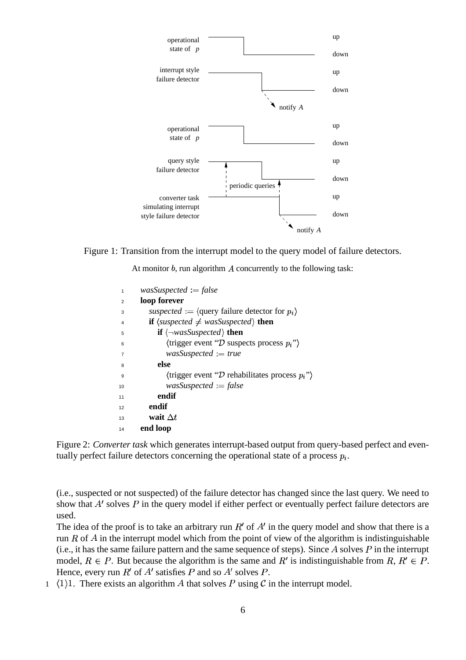

Figure 1: Transition from the interrupt model to the query model of failure detectors.

At monitor  $b$ , run algorithm  $A$  concurrently to the following task:

| 1              | $wasSuspected := false$                                                        |
|----------------|--------------------------------------------------------------------------------|
| $\overline{2}$ | loop forever                                                                   |
| 3              | suspected := $\langle$ query failure detector for $p_i \rangle$                |
| $\overline{4}$ | <b>if</b> $\langle$ <i>suspected</i> $\neq$ <i>wasSuspected</i> $\rangle$ then |
| 5              | <b>if</b> $\langle \neg \text{wasSuspected} \rangle$ then                      |
| 6              | $\langle$ trigger event "D suspects process $p_i$ ")                           |
| $\overline{7}$ | $was Suspected := true$                                                        |
| 8              | else                                                                           |
| 9              | $\langle$ trigger event "D rehabilitates process $p_i$ "                       |
| 10             | $wasSuspected := false$                                                        |
| 11             | endif                                                                          |
| 12             | endif                                                                          |
| 13             | wait $\Delta t$                                                                |
| 14             | end loop                                                                       |
|                |                                                                                |

Figure 2: *Converter task* which generates interrupt-based output from query-based perfect and eventually perfect failure detectors concerning the operational state of a process  $p_i$ .

(i.e., suspected or not suspected) of the failure detector has changed since the last query. We need to show that  $A'$  solves  $P$  in the query model if either perfect or eventually perfect failure detectors are used.

The idea of the proof is to take an arbitrary run  $R'$  of  $A'$  in the query model and show that there is a run R of A in the interrupt model which from the point of view of the algorithm is indistinguishable (i.e., it has the same failure pattern and the same sequence of steps). Since A solves  $P$  in the interrupt model,  $R \in P$ . But because the algorithm is the same and  $R'$  is indistinguishable from  $R, R' \in P$ . Hence, every run  $R'$  of  $A'$  satisfies  $P$  and so  $A'$  solves  $P$ .

1  $\langle 1 \rangle$ 1. There exists an algorithm A that solves P using C in the interrupt model.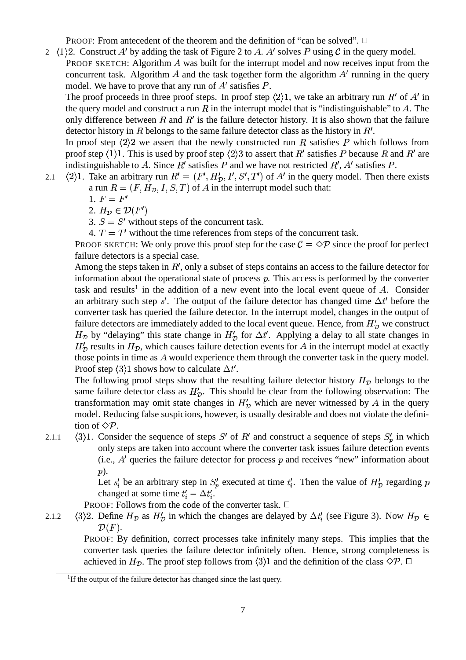PROOF: From antecedent of the theorem and the definition of "can be solved".  $\Box$ 

2  $\langle 1 \rangle$ 2. Construct A' by adding the task of Figure 2 to A. A' solves P using C in the query model. PROOF SKETCH: Algorithm  $\vec{A}$  was built for the interrupt model and now receives input from the

concurrent task. Algorithm A and the task together form the algorithm  $A'$  running in the query model. We have to prove that any run of  $A'$  satisfies  $P$ .

The proof proceeds in three proof steps. In proof step  $\langle 2 \rangle 1$ , we take an arbitrary run R' of A' in the query model and construct a run R in the interrupt model that is "indistinguishable" to A. The only difference between R and  $R'$  is the failure detector history. It is also shown that the failure detector history in  $R$  belongs to the same failure detector class as the history in  $R'$ .

In proof step  $\langle 2 \rangle 2$  we assert that the newly constructed run R satisfies P which follows from proof step  $\langle 1 \rangle 1$ . This is used by proof step  $\langle 2 \rangle 3$  to assert that  $R'$  satisfies P because R and R' are indistinguishable to A. Since R' satisfies P and we have not restricted R', A' satisfies P.

- 2.1  $\langle 2 \rangle$ 1. Take an arbitrary run  $R' = (F', H'_{\mathcal{D}}, I', S', T')$  of A' in the query model. Then there exists a run  $R = (F, H_{\mathcal{D}}, I, S, T)$  of A in the interrupt model such that:
	- 1.  $F = F'$
	- 2.  $H_{\mathcal{D}} \in \mathcal{D}(F')$
	- 3.  $S = S'$  without steps of the concurrent task.
	- 4.  $T = T'$  without the time references from steps of the concurrent task.

PROOF SKETCH: We only prove this proof step for the case  $C = \Diamond P$  since the proof for perfect failure detectors is a special case.

Among the steps taken in  $R'$ , only a subset of steps contains an access to the failure detector for information about the operational state of process  $p$ . This access is performed by the converter task and results<sup>1</sup> in the addition of a new event into the local event queue of  $A$ . Consider an arbitrary such step s'. The output of the failure detector has changed time  $\Delta t'$  before the converter task has queried the failure detector. In the interrupt model, changes in the output of failure detectors are immediately added to the local event queue. Hence, from  $H'_\mathcal{D}$  we construct  $H_{\mathcal{D}}$  by "delaying" this state change in  $H'_{\mathcal{D}}$  for  $\Delta t'$ . Applying a delay to all state changes in  $H'_{\mathcal{D}}$  results in  $H_{\mathcal{D}}$ , which causes failure detection events for A in the interrupt model at exactly those points in time as  $A$  would experience them through the converter task in the query model. Proof step  $\langle 3 \rangle$ 1 shows how to calculate  $\Delta t'$ .

The following proof steps show that the resulting failure detector history  $H_{\mathcal{D}}$  belongs to the same failure detector class as  $H'_{\mathcal{D}}$ . This should be clear from the following observation: The transformation may omit state changes in  $H'_{\mathcal{D}}$  which are never witnessed by A in the query model. Reducing false suspicions, however, is usually desirable and does not violate the definition of  $\Diamond \mathcal{P}$ .

2.1.1  $\langle 3 \rangle$ 1. Consider the sequence of steps S' of R' and construct a sequence of steps  $S'_n$  in which only steps are taken into account where the converter task issues failure detection events (i.e.,  $A'$  queries the failure detector for process  $p$  and receives "new" information about p).

> Let  $s_i$  be an arbitrary step in  $S_n$  executed at time  $t_i'$ . Then the value of  $H'_D$  regarding changed at some time  $t_i' - \Delta t_i'$ .

PROOF: Follows from the code of the converter task.  $\Box$ 

2.1.2  $\langle 3 \rangle$ 2. Define  $H_{\mathcal{D}}$  as  $H'_{\mathcal{D}}$  in which the changes are delayed by  $\Delta t'_{i}$  (see Figure 3). Now  $H_{\mathcal{D}} \in$  $\mathcal{D}(F)$ .

PROOF: By definition, correct processes take infinitely many steps. This implies that the converter task queries the failure detector infinitely often. Hence, strong completeness is achieved in  $H_{\mathcal{D}}$ . The proof step follows from  $\langle 3 \rangle$  and the definition of the class  $\Diamond \mathcal{P}$ .  $\Box$ 

<sup>&</sup>lt;sup>1</sup>If the output of the failure detector has changed since the last query.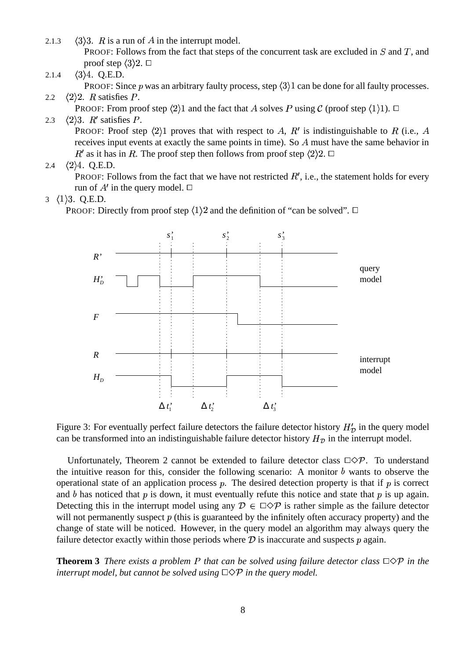- 2.1.3  $\langle 3 \rangle 3$ . R is a run of A in the interrupt model. PROOF: Follows from the fact that steps of the concurrent task are excluded in  $S$  and  $T$ , and proof step  $\langle 3 \rangle 2$ .  $\square$
- 2.1.4  $\langle 3 \rangle 4$ . Q.E.D.

PROOF: Since p was an arbitrary faulty process, step  $\langle 3 \rangle$  an be done for all faulty processes. 2.2  $\langle 2 \rangle 2$ . R satisfies P.

PROOF: From proof step  $\langle 2 \rangle 1$  and the fact that A solves P using C (proof step  $\langle 1 \rangle 1$ ).  $\Box$ 

### 2.3  $\langle 2 \rangle 3$ . R' satisfies P.

PROOF: Proof step  $\langle 2 \rangle$ 1 proves that with respect to A, R' is indistinguishable to R (i.e., A receives input events at exactly the same points in time). So  $A$  must have the same behavior in  $R'$  as it has in R. The proof step then follows from proof step  $\langle 2 \rangle 2$ .  $\Box$ 

2.4  $\langle 2 \rangle 4$ . Q.E.D.

PROOF: Follows from the fact that we have not restricted  $R'$ , i.e., the statement holds for every run of  $A'$  in the query model.  $\Box$ 

### 3  $\langle 1 \rangle$ 3. Q.E.D.

PROOF: Directly from proof step  $\langle 1 \rangle 2$  and the definition of "can be solved".  $\Box$ 



Figure 3: For eventually perfect failure detectors the failure detector history  $H'_\mathcal{D}$  in the query model can be transformed into an indistinguishable failure detector history  $H<sub>D</sub>$  in the interrupt model.

Unfortunately, Theorem 2 cannot be extended to failure detector class  $\Box \Diamond \mathcal{P}$ . To understand the intuitive reason for this, consider the following scenario: A monitor  $b$  wants to observe the operational state of an application process  $p$ . The desired detection property is that if  $p$  is correct and b has noticed that p is down, it must eventually refute this notice and state that p is up again. Detecting this in the interrupt model using any  $\mathcal{D} \in \Box \Diamond \mathcal{P}$  is rather simple as the failure detector will not permanently suspect  $p$  (this is guaranteed by the infinitely often accuracy property) and the change of state will be noticed. However, in the query model an algorithm may always query the failure detector exactly within those periods where  $D$  is inaccurate and suspects  $p$  again.

**Theorem 3** *There exists* a problem P that can be solved using failure detector class  $\Box \Diamond P$  *in the interrupt model, but cannot be solved using in the query model.*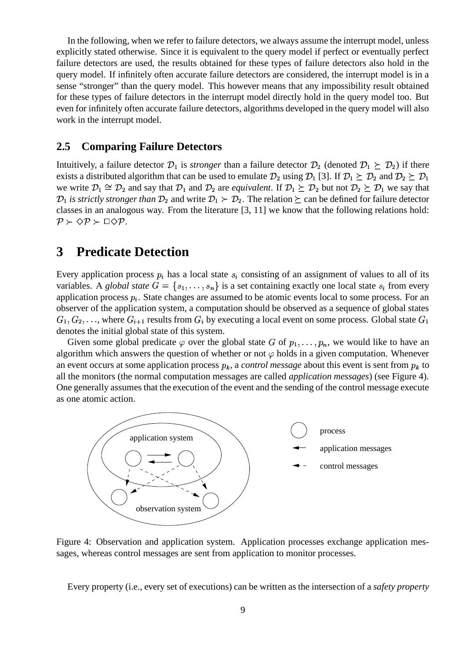In the following, when we refer to failure detectors, we always assume the interrupt model, unless explicitly stated otherwise. Since it is equivalent to the query model if perfect or eventually perfect failure detectors are used, the results obtained for these types of failure detectors also hold in the query model. If infinitely often accurate failure detectors are considered, the interrupt model is in a sense "stronger" than the query model. This however means that any impossibility result obtained for these types of failure detectors in the interrupt model directly hold in the query model too. But even for infinitely often accurate failure detectors, algorithms developed in the query model will also work in the interrupt model.

### **2.5 Comparing Failure Detectors**

Intuitively, a failure detector  $\mathcal{D}_1$  is *stronger* than a failure detector  $\mathcal{D}_2$  (denoted  $\mathcal{D}_1 \succeq \mathcal{D}_2$ ) if there exists a distributed algorithm that can be used to emulate  $\mathcal{D}_2$  using  $\mathcal{D}_1$  [3]. If  $\mathcal{D}_1 \succeq \mathcal{D}_2$  and  $\mathcal{D}_2 \succeq \mathcal{D}_1$ we write  $\mathcal{D}_1 \cong \mathcal{D}_2$  and say that  $\mathcal{D}_1$  and  $\mathcal{D}_2$  are *equivalent*. If  $\mathcal{D}_1 \succeq \mathcal{D}_2$  but not  $\mathcal{D}_2 \succeq \mathcal{D}_1$  we say that  $\mathcal{D}_1$  *is strictly stronger than*  $\mathcal{D}_2$  and write  $\mathcal{D}_1 \succ \mathcal{D}_2$ . The relation  $\succeq$  can be defined for failure detector classes in an analogous way. From the literature [3, 11] we know that the following relations hold:  $\mathcal{P} \succ \Diamond \mathcal{P} \succ \Box \Diamond \mathcal{P}.$ 

# **3 Predicate Detection**

Every application process  $p_i$  has a local state  $s_i$  consisting of an assignment of values to all of its variables. A *global state*  $G = \{s_1, \ldots, s_n\}$  is a set containing exactly one local state  $s_i$  from every application process  $p_i$ . State changes are assumed to be atomic events local to some process. For an observer of the application system, a computation should be observed as a sequence of global states  $G_1, G_2, \ldots$  , where  $G_{i+1}$  results from  $G_i$  by executing a local event on some process. Global state  $G_1$ denotes the initial global state of this system.

Given some global predicate  $\varphi$  over the global state G of  $p_1, \ldots, p_n$ , we would like to have an algorithm which answers the question of whether or not  $\varphi$  holds in a given computation. Whenever an event occurs at some application process  $p_k$ , a *control message* about this event is sent from  $p_k$  to all the monitors (the normal computation messages are called *application messages*) (see Figure 4). One generally assumes that the execution of the event and the sending of the control message execute as one atomic action.



Figure 4: Observation and application system. Application processes exchange application messages, whereas control messages are sent from application to monitor processes.

Every property (i.e., every set of executions) can be written as the intersection of a *safety property*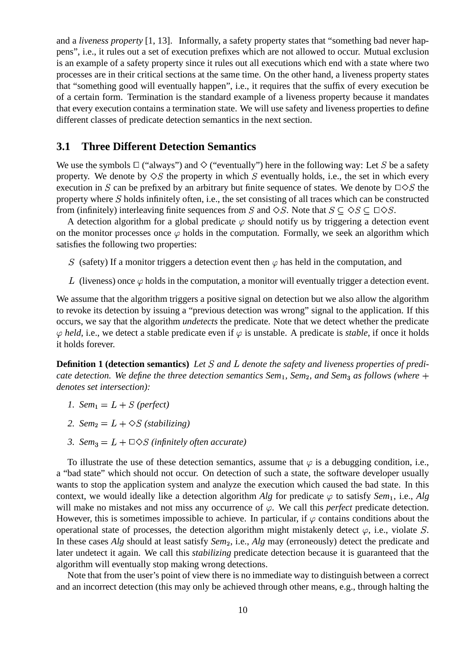and a *liveness property* [1, 13]. Informally, a safety property states that "something bad never happens", i.e., it rules out a set of execution prefixes which are not allowed to occur. Mutual exclusion is an example of a safety property since it rules out all executions which end with a state where two processes are in their critical sections at the same time. On the other hand, a liveness property states that "something good will eventually happen", i.e., it requires that the suffix of every execution be of a certain form. Termination is the standard example of a liveness property because it mandates that every execution contains a termination state. We will use safety and liveness properties to define different classes of predicate detection semantics in the next section.

### **3.1 Three Different Detection Semantics**

We use the symbols  $\Box$  ("always") and  $\Diamond$  ("eventually") here in the following way: Let S be a safety property. We denote by  $\Diamond S$  the property in which S eventually holds, i.e., the set in which every execution in S can be prefixed by an arbitrary but finite sequence of states. We denote by  $\Box \Diamond S$  the property where  $S$  holds infinitely often, i.e., the set consisting of all traces which can be constructed from (infinitely) interleaving finite sequences from S and  $\Diamond S$ . Note that  $S \subseteq \Diamond S \subseteq \Box \Diamond S$ .

A detection algorithm for a global predicate  $\varphi$  should notify us by triggering a detection event on the monitor processes once  $\varphi$  holds in the computation. Formally, we seek an algorithm which satisfies the following two properties:

- S (safety) If a monitor triggers a detection event then  $\varphi$  has held in the computation, and
- L (liveness) once  $\varphi$  holds in the computation, a monitor will eventually trigger a detection event.

We assume that the algorithm triggers a positive signal on detection but we also allow the algorithm to revoke its detection by issuing a "previous detection was wrong" signal to the application. If this occurs, we say that the algorithm *undetects* the predicate. Note that we detect whether the predicate  $\varphi$  held, i.e., we detect a stable predicate even if  $\varphi$  is unstable. A predicate is *stable*, if once it holds it holds forever.

**Definition 1 (detection semantics)** Let S and L denote the safety and liveness properties of predi*cate detection. We define the three detection semantics Sem<sub>1</sub>, Sem<sub>2</sub>, and Sem<sub>3</sub> as follows (where*  $+$ *denotes set intersection):*

- *1. Sem*<sub>1</sub> =  $L + S$  (perfect)
- 2.  $Sem_2 = L + \diamond S$  (stabilizing)
- *3. Sem*<sub>3</sub> =  $L + \square \diamond S$  (infinitely often accurate)

To illustrate the use of these detection semantics, assume that  $\varphi$  is a debugging condition, i.e., a "bad state" which should not occur. On detection of such a state, the software developer usually wants to stop the application system and analyze the execution which caused the bad state. In this context, we would ideally like a detection algorithm *Alg* for predicate  $\varphi$  to satisfy *Sem*<sub>1</sub>, i.e., *Alg* will make no mistakes and not miss any occurrence of  $\varphi$ . We call this *perfect* predicate detection. However, this is sometimes impossible to achieve. In particular, if  $\varphi$  contains conditions about the operational state of processes, the detection algorithm might mistakenly detect  $\varphi$ , i.e., violate S. In these cases *Alg* should at least satisfy *Sem* , i.e., *Alg* may (erroneously) detect the predicate and later undetect it again. We call this *stabilizing* predicate detection because it is guaranteed that the algorithm will eventually stop making wrong detections.

Note that from the user's point of view there is no immediate way to distinguish between a correct and an incorrect detection (this may only be achieved through other means, e.g., through halting the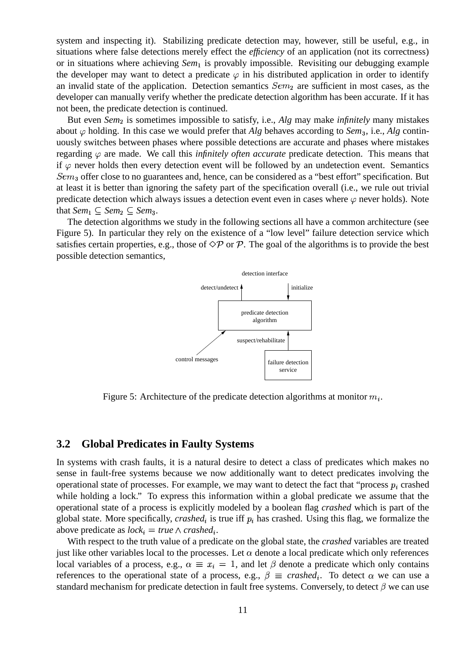system and inspecting it). Stabilizing predicate detection may, however, still be useful, e.g., in situations where false detections merely effect the *efficiency* of an application (not its correctness) or in situations where achieving *Sem*<sub>1</sub> is provably impossible. Revisiting our debugging example the developer may want to detect a predicate  $\varphi$  in his distributed application in order to identify an invalid state of the application. Detection semantics  $Sem_2$  are sufficient in most cases, as the developer can manually verify whether the predicate detection algorithm has been accurate. If it has not been, the predicate detection is continued.

But even *Sem*<sub>2</sub> is sometimes impossible to satisfy, i.e., *Alg* may make *infinitely* many mistakes about  $\varphi$  holding. In this case we would prefer that *Alg* behaves according to *Sem*<sub>3</sub>, i.e., *Alg* continuously switches between phases where possible detections are accurate and phases where mistakes regarding  $\varphi$  are made. We call this *infinitely often accurate* predicate detection. This means that if  $\varphi$  never holds then every detection event will be followed by an undetection event. Semantics  $Sem_3$  offer close to no guarantees and, hence, can be considered as a "best effort" specification. But at least it is better than ignoring the safety part of the specification overall (i.e., we rule out trivial predicate detection which always issues a detection event even in cases where  $\varphi$  never holds). Note that  $Sem_1 \subseteq Sem_2 \subseteq Sem_3$ .

The detection algorithms we study in the following sections all have a common architecture (see Figure 5). In particular they rely on the existence of a "low level" failure detection service which satisfies certain properties, e.g., those of  $\Diamond \mathcal{P}$  or  $\mathcal{P}$ . The goal of the algorithms is to provide the best possible detection semantics,



Figure 5: Architecture of the predicate detection algorithms at monitor  $m_i$ .

### **3.2 Global Predicates in Faulty Systems**

In systems with crash faults, it is a natural desire to detect a class of predicates which makes no sense in fault-free systems because we now additionally want to detect predicates involving the operational state of processes. For example, we may want to detect the fact that "process  $p_i$  crashed while holding a lock." To express this information within a global predicate we assume that the operational state of a process is explicitly modeled by a boolean flag *crashed* which is part of the global state. More specifically, *crashed*<sub>i</sub> is true iff  $p_i$  has crashed. Using this flag, we formalize the above predicate as  $lock_i = true \land crashed_i$ .

With respect to the truth value of a predicate on the global state, the *crashed* variables are treated just like other variables local to the processes. Let  $\alpha$  denote a local predicate which only references local variables of a process, e.g.,  $\alpha \equiv x_i = 1$ , and let  $\beta$  denote a predicate which only contains references to the operational state of a process, e.g.,  $\beta \equiv$  *crashed*<sub>i</sub>. To detect  $\alpha$  we can use a standard mechanism for predicate detection in fault free systems. Conversely, to detect  $\beta$  we can use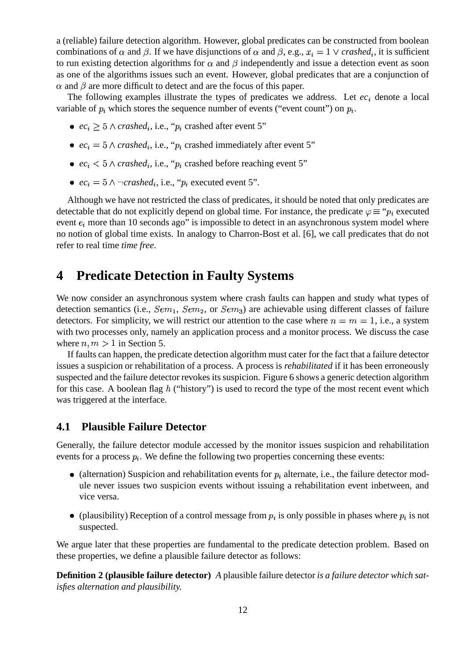a (reliable) failure detection algorithm. However, global predicates can be constructed from boolean combinations of  $\alpha$  and  $\beta$ . If we have disjunctions of  $\alpha$  and  $\beta$ , e.g.,  $x_i = 1 \vee$  *crashed<sub>i</sub>*, it is sufficient to run existing detection algorithms for  $\alpha$  and  $\beta$  independently and issue a detection event as soon as one of the algorithms issues such an event. However, global predicates that are a conjunction of  $\alpha$  and  $\beta$  are more difficult to detect and are the focus of this paper.

The following examples illustrate the types of predicates we address. Let  $ec<sub>i</sub>$  denote a local variable of  $p_i$  which stores the sequence number of events ("event count") on  $p_i$ .

- $ec_i \geq 5 \land crashed_i$ , i.e., " $p_i$  crashed after event 5"
- $ec_i = 5 \land crashed_i$ , i.e., " $p_i$  crashed immediately after event 5"
- $ec_i < 5 \land crashed_i$ , i.e., " $p_i$  crashed before reaching event 5"
- $ec_i = 5 \land \neg \text{crashed}_i$ , i.e., " $p_i$  executed event 5".

Although we have not restricted the class of predicates, it should be noted that only predicates are detectable that do not explicitly depend on global time. For instance, the predicate  $\varphi \equiv \varphi_i$  executed event  $e_i$  more than 10 seconds ago" is impossible to detect in an asynchronous system model where no notion of global time exists. In analogy to Charron-Bost et al. [6], we call predicates that do not refer to real time *time free*.

# **4 Predicate Detection in Faulty Systems**

We now consider an asynchronous system where crash faults can happen and study what types of detection semantics (i.e.,  $Sem_1$ ,  $Sem_2$ , or  $Sem_3$ ) are achievable using different classes of failure detectors. For simplicity, we will restrict our attention to the case where  $n = m = 1$ , i.e., a system with two processes only, namely an application process and a monitor process. We discuss the case where  $n, m > 1$  in Section 5.

If faults can happen, the predicate detection algorithm must cater for the fact that a failure detector issues a suspicion or rehabilitation of a process. A process is *rehabilitated* if it has been erroneously suspected and the failure detector revokes its suspicion. Figure 6 shows a generic detection algorithm for this case. A boolean flag  $h$  ("history") is used to record the type of the most recent event which was triggered at the interface.

### **4.1 Plausible Failure Detector**

Generally, the failure detector module accessed by the monitor issues suspicion and rehabilitation events for a process  $p_i$ . We define the following two properties concerning these events:

- (alternation) Suspicion and rehabilitation events for  $p_i$  alternate, i.e., the failure detector module never issues two suspicion events without issuing a rehabilitation event inbetween, and vice versa.
- (plausibility) Reception of a control message from  $p_i$  is only possible in phases where  $p_i$  is not suspected.

We argue later that these properties are fundamental to the predicate detection problem. Based on these properties, we define a plausible failure detector as follows:

**Definition 2 (plausible failure detector)** *A* plausible failure detector *is a failure detector which satisfies alternation and plausibility.*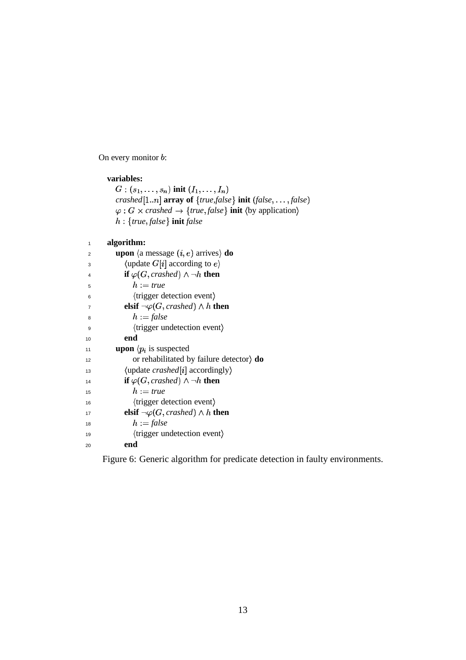On every monitor  $b$ :

### **variables:**

```
G:(s_1,\ldots,s_n) init (I_1,\ldots,I_n)crashed[1..n] array of \{true\{false\} init \{false, \ldots, false\}\varphi: G \times crashed \rightarrow {true, false} init \langleby application}

-
 true 
false  init false
```
#### **algorithm:** 1

| $\overline{2}$ | <b>upon</b> $\langle$ a message $(i, e)$ arrives $\rangle$ <b>do</b> |
|----------------|----------------------------------------------------------------------|
| 3              | $\langle$ update $G[i]$ according to $e \rangle$                     |
| 4              | if $\varphi(G, crashed) \wedge \neg h$ then                          |
| 5              | $h := true$                                                          |
| 6              | (trigger detection event)                                            |
| $\overline{7}$ | elsif $\neg \varphi(G, crashed) \wedge h$ then                       |
| 8              | $h := false$                                                         |
| 9              | (trigger undetection event)                                          |
| 10             | end                                                                  |
| 11             | <b>upon</b> $\langle p_i \rangle$ is suspected                       |
| 12             | or rehabilitated by failure detector) $\bf{do}$                      |
| 13             | $\langle$ update <i>crashed</i> [ <i>i</i> ] accordingly $\rangle$   |
| 14             | if $\varphi(G, crashed) \wedge \neg h$ then                          |
| 15             | $h := true$                                                          |
| 16             | (trigger detection event)                                            |
| 17             | elsif $\neg \varphi(G, crashed) \wedge h$ then                       |
| 18             | $h := false$                                                         |
| 19             | (trigger undetection event)                                          |
| 20             | end                                                                  |

Figure 6: Generic algorithm for predicate detection in faulty environments.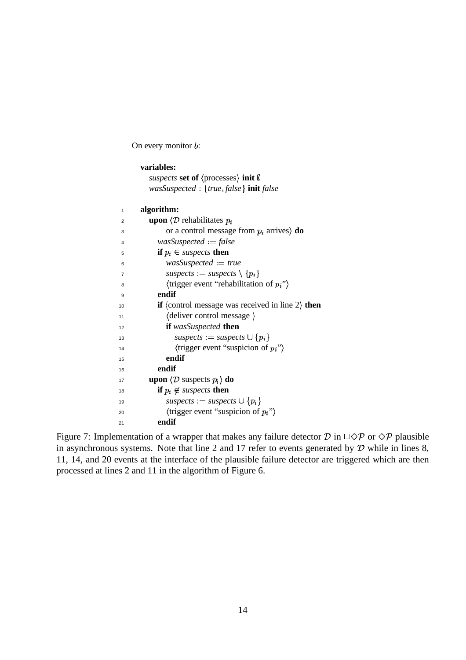On every monitor  $b$ :

|    | variables:                                                                |
|----|---------------------------------------------------------------------------|
|    | <i>suspects</i> set of $\langle$ processes $\rangle$ init $\emptyset$     |
|    | wasSuspected : {true, false} init false                                   |
|    |                                                                           |
| 1  | algorithm:                                                                |
| 2  | <b>upon</b> $\langle \mathcal{D} \rangle$ rehabilitates $p_i$             |
| 3  | or a control message from $p_i$ arrives) <b>do</b>                        |
| 4  | $was Suspected := false$                                                  |
| 5  | <b>if</b> $p_i \in$ <i>suspects</i> then                                  |
| 6  | $was Suspected := true$                                                   |
| 7  | suspects := suspects $\setminus \{p_i\}$                                  |
| 8  | $\langle$ trigger event "rehabilitation of $p_i$ ")                       |
| 9  | endif                                                                     |
| 10 | <b>if</b> $\langle$ control message was received in line 2 $\rangle$ then |
| 11 | $\langle$ deliver control message $\rangle$                               |
| 12 | if wasSuspected then                                                      |
| 13 | $subpects := supects \cup {p_i}$                                          |
| 14 | $\langle$ trigger event "suspicion of $p_i$ " $\rangle$                   |
| 15 | endif                                                                     |
| 16 | endif                                                                     |
| 17 | <b>upon</b> $\langle \mathcal{D}$ suspects $p_i \rangle$ <b>do</b>        |
| 18 | <b>if</b> $p_i \notin$ suspects then                                      |
| 19 | suspects := suspects $\cup \{p_i\}$                                       |
| 20 | $\langle$ trigger event "suspicion of $p_i$ " $\rangle$                   |
| 21 | endif                                                                     |

Figure 7: Implementation of a wrapper that makes any failure detector  $D$  in  $\Box \Diamond \mathcal{P}$  or  $\Diamond \mathcal{P}$  plausible in asynchronous systems. Note that line 2 and 17 refer to events generated by  $D$  while in lines 8, 11, 14, and 20 events at the interface of the plausible failure detector are triggered which are then processed at lines 2 and 11 in the algorithm of Figure 6.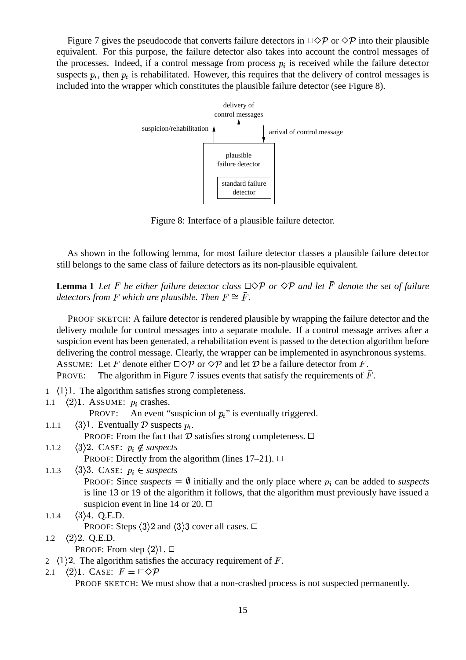Figure 7 gives the pseudocode that converts failure detectors in  $\Box \Diamond \mathcal{P}$  or  $\Diamond \mathcal{P}$  into their plausible equivalent. For this purpose, the failure detector also takes into account the control messages of the processes. Indeed, if a control message from process  $p_i$  is received while the failure detector suspects  $p_i$ , then  $p_i$  is rehabilitated. However, this requires that the delivery of control messages is included into the wrapper which constitutes the plausible failure detector (see Figure 8).



Figure 8: Interface of a plausible failure detector.

As shown in the following lemma, for most failure detector classes a plausible failure detector still belongs to the same class of failure detectors as its non-plausible equivalent.

**Lemma 1** Let F be either failure detector class  $\Box \Diamond \mathcal{P}$  or  $\Diamond \mathcal{P}$  and let  $\overline{F}$  denote the set of failure detectors from  $F$  which are plausible. Then  $F \cong \bar{F}$ .

PROOF SKETCH: A failure detector is rendered plausible by wrapping the failure detector and the delivery module for control messages into a separate module. If a control message arrives after a suspicion event has been generated, a rehabilitation event is passed to the detection algorithm before delivering the control message. Clearly, the wrapper can be implemented in asynchronous systems. ASSUME: Let F denote either  $\Box \Diamond \mathcal{P}$  or  $\Diamond \mathcal{P}$  and let D be a failure detector from F.

PROVE: The algorithm in Figure 7 issues events that satisfy the requirements of  $\bar{F}$ .

- $1 \langle 1 \rangle 1$ . The algorithm satisfies strong completeness.
- 1.1  $\langle 2 \rangle$ 1. ASSUME:  $p_i$  crashes.

PROVE: An event "suspicion of  $p_i$ " is eventually triggered.

- 1.1.1  $\langle 3 \rangle$ 1. Eventually D suspects  $p_i$ . PROOF: From the fact that  $\mathcal D$  satisfies strong completeness.  $\Box$
- 1.1.2  $\langle 3 \rangle 2$ . CASE:  $p_i \notin$  suspects PROOF: Directly from the algorithm (lines  $17-21$ ).  $\Box$

```
1.1.3 \langle 3 \rangle 3. CASE: p_i \in suspects
           PROOF: Since suspects = \emptyset initially and the only place where p_i can be added to suspects
           is line 13 or 19 of the algorithm it follows, that the algorithm must previously have issued a
           suspicion event in line 14 or 20. \Box
```
- 1.1.4  $\langle 3 \rangle 4$ . Q.E.D. PROOF: Steps  $\langle 3 \rangle 2$  and  $\langle 3 \rangle 3$  cover all cases.  $\Box$
- 1.2  $\langle 2 \rangle 2$ . Q.E.D. PROOF: From step  $\langle 2 \rangle 1$ .  $\Box$
- 2  $\langle 1 \rangle$ 2. The algorithm satisfies the accuracy requirement of F.
- 2.1  $\langle 2 \rangle$ 1. Case:  $F = \Box \Diamond \mathcal{P}$

PROOF SKETCH: We must show that a non-crashed process is not suspected permanently.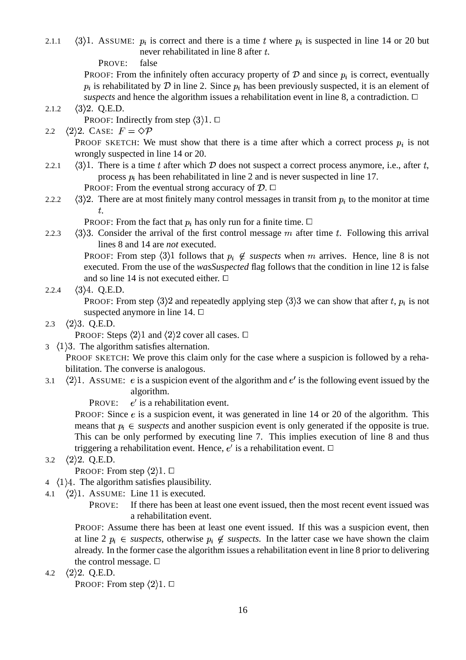2.1.1  $\langle 3 \rangle$ 1. ASSUME:  $p_i$  is correct and there is a time t where  $p_i$  is suspected in line 14 or 20 but never rehabilitated in line 8 after t.

PROVE: false

PROOF: From the infinitely often accuracy property of  $D$  and since  $p_i$  is correct, eventually  $p_i$  is rehabilitated by  $\mathcal D$  in line 2. Since  $p_i$  has been previously suspected, it is an element of *suspects* and hence the algorithm issues a rehabilitation event in line 8, a contradiction.  $\Box$ 

- 2.1.2  $\langle 3 \rangle 2$ . Q.E.D. PROOF: Indirectly from step  $\langle 3 \rangle 1$ .  $\Box$
- 2.2  $\langle 2 \rangle 2$ . CASE:  $F = \Diamond P$ **PROOF SKETCH:** We must show that there is a time after which a correct process  $p_i$  is not wrongly suspected in line 14 or 20.
- 2.2.1  $\langle 3 \rangle$ 1. There is a time t after which D does not suspect a correct process anymore, i.e., after t, process  $p_i$  has been rehabilitated in line 2 and is never suspected in line 17. PROOF: From the eventual strong accuracy of  $\mathcal{D}$ .  $\Box$
- 2.2.2  $\langle 3 \rangle$  There are at most finitely many control messages in transit from  $p_i$  to the monitor at time .

PROOF: From the fact that  $p_i$  has only run for a finite time.  $\Box$ 

2.2.3  $\langle 3 \rangle$ 3. Consider the arrival of the first control message m after time t. Following this arrival lines 8 and 14 are *not* executed.

> **PROOF:** From step  $\langle 3 \rangle$ 1 follows that  $p_i \notin$  suspects when m arrives. Hence, line 8 is not executed. From the use of the *wasSuspected* flag follows that the condition in line 12 is false and so line 14 is not executed either.  $\Box$

# 2.2.4  $\langle 3 \rangle 4$ . Q.E.D.

PROOF: From step  $\langle 3 \rangle 2$  and repeatedly applying step  $\langle 3 \rangle 3$  we can show that after t,  $p_i$  is not suspected anymore in line 14.  $\Box$ 

2.3  $\langle 2 \rangle$ 3. Q.E.D.

PROOF: Steps  $\langle 2 \rangle 1$  and  $\langle 2 \rangle 2$  cover all cases.  $\Box$ 

 $3 \langle 1 \rangle 3$ . The algorithm satisfies alternation.

PROOF SKETCH: We prove this claim only for the case where a suspicion is followed by a rehabilitation. The converse is analogous.

- 3.1  $\langle 2 \rangle$ 1. ASSUME: *e* is a suspicion event of the algorithm and *e'* is the following event issued by the algorithm.
	- PROVE:  $e'$  is a rehabilitation event.

PROOF: Since  $e$  is a suspicion event, it was generated in line 14 or 20 of the algorithm. This means that  $p_i \in$  *suspects* and another suspicion event is only generated if the opposite is true. This can be only performed by executing line 7. This implies execution of line 8 and thus triggering a rehabilitation event. Hence,  $e'$  is a rehabilitation event.  $\Box$ 

3.2  $\langle 2 \rangle 2$ . Q.E.D.

PROOF: From step  $\langle 2 \rangle 1$ .  $\Box$ 

- $4 \langle 1 \rangle 4$ . The algorithm satisfies plausibility.
- 4.1  $\langle 2 \rangle$ 1. ASSUME: Line 11 is executed.
	- PROVE: If there has been at least one event issued, then the most recent event issued was a rehabilitation event.

PROOF: Assume there has been at least one event issued. If this was a suspicion event, then at line 2  $p_i \in$  *suspects*, otherwise  $p_i \notin$  *suspects*. In the latter case we have shown the claim already. In the former case the algorithm issues a rehabilitation event in line 8 prior to delivering the control message.  $\square$ 

4.2  $\langle 2 \rangle 2$ . Q.E.D.

PROOF: From step  $\langle 2 \rangle 1$ .  $\Box$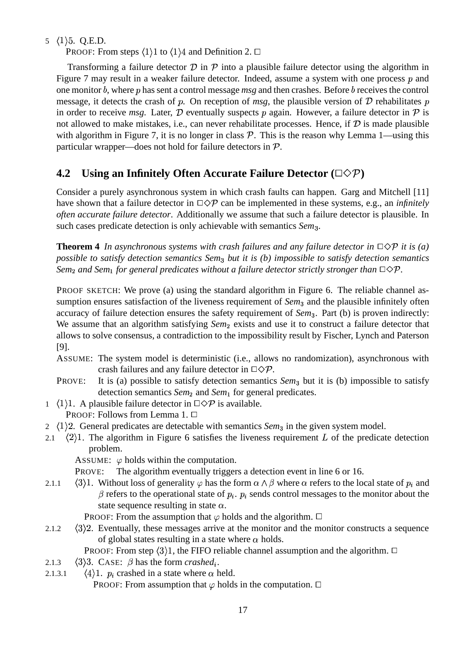5  $(1)$  5. Q.E.D.

PROOF: From steps  $\langle 1 \rangle 1$  to  $\langle 1 \rangle 4$  and Definition 2.  $\Box$ 

Transforming a failure detector  $\mathcal D$  in  $\mathcal P$  into a plausible failure detector using the algorithm in Figure 7 may result in a weaker failure detector. Indeed, assume a system with one process  $p$  and one monitor *b*, where *p* has sent a control message *msg* and then crashes. Before *b* receives the control message, it detects the crash of  $p$ . On reception of  $msg$ , the plausible version of  $D$  rehabilitates in order to receive *msg*. Later,  $D$  eventually suspects  $p$  again. However, a failure detector in  $P$  is not allowed to make mistakes, i.e., can never rehabilitate processes. Hence, if  $D$  is made plausible with algorithm in Figure 7, it is no longer in class  $P$ . This is the reason why Lemma 1—using this particular wrapper—does not hold for failure detectors in  $P$ .

# **4.2 Using an Infinitely Often Accurate Failure Detector (**-**)**

Consider a purely asynchronous system in which crash faults can happen. Garg and Mitchell [11] have shown that a failure detector in  $\Box \Diamond \mathcal{P}$  can be implemented in these systems, e.g., an *infinitely often accurate failure detector*. Additionally we assume that such a failure detector is plausible. In such cases predicate detection is only achievable with semantics *Sem*<sub>3</sub>.

**Theorem 4** In asynchronous systems with crash failures and any failure detector in  $\Box \Diamond P$  it is (a) *possible to satisfy detection semantics Sem*- *but it is (b) impossible to satisfy detection semantics Sem*<sub>2</sub> and *Sem*<sub>1</sub> for general predicates without a failure detector strictly stronger than  $\Box \Diamond \mathcal{P}$ .

PROOF SKETCH: We prove (a) using the standard algorithm in Figure 6. The reliable channel assumption ensures satisfaction of the liveness requirement of *Sem*<sub>3</sub> and the plausible infinitely often accuracy of failure detection ensures the safety requirement of *Sem*<sub>3</sub>. Part (b) is proven indirectly: We assume that an algorithm satisfying *Sem*<sub>2</sub> exists and use it to construct a failure detector that allows to solve consensus, a contradiction to the impossibility result by Fischer, Lynch and Paterson [9].

- ASSUME: The system model is deterministic (i.e., allows no randomization), asynchronous with crash failures and any failure detector in  $\Box \Diamond \mathcal{P}$ .
- PROVE: It is (a) possible to satisfy detection semantics *Sem*<sub>3</sub> but it is (b) impossible to satisfy detection semantics *Sem*<sub>2</sub> and *Sem*<sub>1</sub> for general predicates.
- 1  $\langle 1 \rangle$ 1. A plausible failure detector in  $\Box \Diamond \mathcal{P}$  is available. PROOF: Follows from Lemma 1. □
- $2 \langle 1 \rangle 2$ . General predicates are detectable with semantics *Sem*<sub>3</sub> in the given system model.
- 2.1  $\langle 2 \rangle$ 1. The algorithm in Figure 6 satisfies the liveness requirement L of the predicate detection problem.

ASSUME:  $\varphi$  holds within the computation.

- PROVE: The algorithm eventually triggers a detection event in line 6 or 16.
- 2.1.1  $\langle 3 \rangle$ 1. Without loss of generality  $\varphi$  has the form  $\alpha \wedge \beta$  where  $\alpha$  refers to the local state of  $p_i$  and  $\beta$  refers to the operational state of  $p_i$ .  $p_i$  sends control messages to the monitor about the state sequence resulting in state  $\alpha$ .

PROOF: From the assumption that  $\varphi$  holds and the algorithm.  $\Box$ 

2.1.2  $\langle 3 \rangle$ 2. Eventually, these messages arrive at the monitor and the monitor constructs a sequence of global states resulting in a state where  $\alpha$  holds.

PROOF: From step  $\langle 3 \rangle 1$ , the FIFO reliable channel assumption and the algorithm.  $\Box$ 

- 2.1.3  $\langle 3 \rangle$ 3. CASE:  $\beta$  has the form *crashed<sub>i</sub>*.
- 2.1.3.1  $\langle 4 \rangle$ 1.  $p_i$  crashed in a state where  $\alpha$  held. PROOF: From assumption that  $\varphi$  holds in the computation.  $\Box$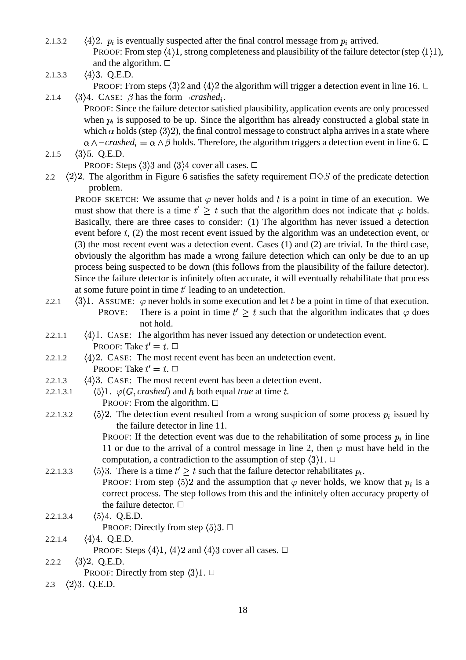- 2.1.3.2  $\langle 4 \rangle$ 2.  $p_i$  is eventually suspected after the final control message from  $p_i$  arrived. PROOF: From step  $\langle 4 \rangle$ 1, strong completeness and plausibility of the failure detector (step  $\langle 1 \rangle$ 1), and the algorithm.  $\Box$
- 2.1.3.3  $\langle 4 \rangle$ 3. Q.E.D. PROOF: From steps  $\langle 3 \rangle 2$  and  $\langle 4 \rangle 2$  the algorithm will trigger a detection event in line 16.  $\Box$ 2.1.4  $\langle 3 \rangle 4$ . CASE:  $\beta$  has the form  $\neg\textit{crashed}_i$ .
- PROOF: Since the failure detector satisfied plausibility, application events are only processed when  $p_i$  is supposed to be up. Since the algorithm has already constructed a global state in which  $\alpha$  holds (step  $\langle 3 \rangle 2$ ), the final control message to construct alpha arrives in a state where  $\alpha \wedge \neg \text{crashed}_i \equiv \alpha \wedge \beta$  holds. Therefore, the algorithm triggers a detection event in line 6.  $\Box$
- 2.1.5  $\langle 3 \rangle$ 5. Q.E.D.

PROOF: Steps  $\langle 3 \rangle 3$  and  $\langle 3 \rangle 4$  cover all cases.  $\Box$ 

2.2  $\langle 2 \rangle$ 2. The algorithm in Figure 6 satisfies the safety requirement  $\square \diamond S$  of the predicate detection problem.

PROOF SKETCH: We assume that  $\varphi$  never holds and t is a point in time of an execution. We must show that there is a time  $t' \geq t$  such that the algorithm does not indicate that  $\varphi$  holds. Basically, there are three cases to consider: (1) The algorithm has never issued a detection event before  $t$ , (2) the most recent event issued by the algorithm was an undetection event, or (3) the most recent event was a detection event. Cases (1) and (2) are trivial. In the third case, obviously the algorithm has made a wrong failure detection which can only be due to an up process being suspected to be down (this follows from the plausibility of the failure detector). Since the failure detector is infinitely often accurate, it will eventually rehabilitate that process at some future point in time  $t'$  leading to an undetection.

- 2.2.1  $\langle 3 \rangle$ 1. ASSUME:  $\varphi$  never holds in some execution and let t be a point in time of that execution. PROVE: There is a point in time  $t' \geq t$  such that the algorithm indicates that  $\varphi$  does not hold.
- 2.2.1.1  $\langle 4 \rangle$ 1. CASE: The algorithm has never issued any detection or undetection event. Proof: Take  $t'=t.$   $\Box$
- 2.2.1.2  $\langle 4 \rangle$  2. CASE: The most recent event has been an undetection event. Proof: Take  $t'=t.$   $\Box$
- 2.2.1.3  $\langle 4 \rangle$ 3. CASE: The most recent event has been a detection event.
- 2.2.1.3.1  $\Diamond$ 1.  $\varphi$ (*G*, *crashed*) and *h* both equal *true* at time *t*. PROOF: From the algorithm.  $\Box$
- 2.2.1.3.2  $\geq$  2. The detection event resulted from a wrong suspicion of some process  $p_i$  issued by the failure detector in line 11.
	- **PROOF:** If the detection event was due to the rehabilitation of some process  $p_i$  in line 11 or due to the arrival of a control message in line 2, then  $\varphi$  must have held in the computation, a contradiction to the assumption of step  $\langle 3 \rangle 1$ .  $\Box$
- 2.2.1.3.3  $\Delta$ )3. There is a time  $t' \geq t$  such that the failure detector rehabilitates  $p_i$ . **PROOF:** From step  $\langle 5 \rangle 2$  and the assumption that  $\varphi$  never holds, we know that  $p_i$  is a correct process. The step follows from this and the infinitely often accuracy property of the failure detector.  $\Box$
- 2.2.1.3.4  $4.$  Q.E.D.

PROOF: Directly from step  $\langle 5 \rangle 3$ .  $\Box$ 

- 2.2.1.4  $\langle 4 \rangle$ 4. Q.E.D.
	- PROOF: Steps  $\langle 4 \rangle 1$ ,  $\langle 4 \rangle 2$  and  $\langle 4 \rangle 3$  cover all cases.  $\Box$
- 2.2.2  $\langle 3 \rangle 2$ . Q.E.D. PROOF: Directly from step  $\langle 3 \rangle 1$ .  $\Box$
- 2.3  $\langle 2 \rangle$ 3. Q.E.D.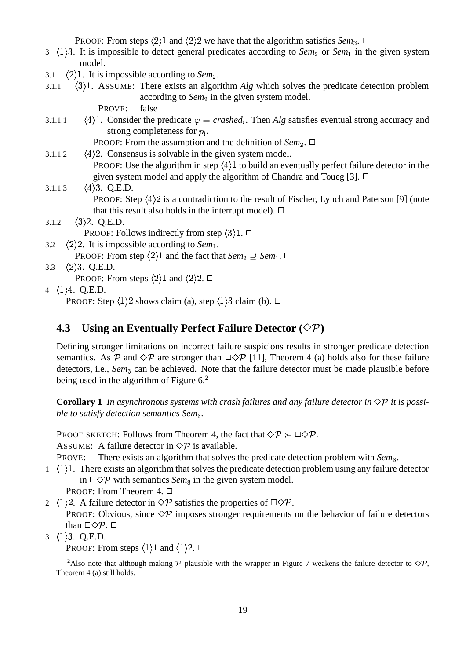PROOF: From steps  $\langle 2 \rangle 1$  and  $\langle 2 \rangle 2$  we have that the algorithm satisfies *Sem*<sub>3</sub>.  $\Box$ 

- 3 (1)3. It is impossible to detect general predicates according to *Sem*<sub>2</sub> or *Sem*<sub>1</sub> in the given system model.
- 3.1  $\langle 2 \rangle$ 1. It is impossible according to *Sem*<sub>2</sub>.
- 3.1.1  $\langle 3 \rangle$ 1. ASSUME: There exists an algorithm *Alg* which solves the predicate detection problem according to *Sem*<sub>2</sub> in the given system model.

PROVE: false

3.1.1.1  $\langle 4 \rangle$ 1. Consider the predicate  $\varphi \equiv$  *crashed<sub>i</sub>*. Then *Alg* satisfies eventual strong accuracy and strong completeness for  $p_i$ .

PROOF: From the assumption and the definition of *Sem*<sub>2</sub>. □

- 3.1.1.2  $\langle 4 \rangle$ 2. Consensus is solvable in the given system model. PROOF: Use the algorithm in step  $\langle 4 \rangle 1$  to build an eventually perfect failure detector in the given system model and apply the algorithm of Chandra and Toueg [3].  $\Box$
- 3.1.1.3  $\langle 4 \rangle$ 3. Q.E.D. PROOF: Step  $\langle 4 \rangle$ 2 is a contradiction to the result of Fischer, Lynch and Paterson [9] (note that this result also holds in the interrupt model).  $\Box$ 3.1.2  $\langle 3 \rangle 2$ . Q.E.D. PROOF: Follows indirectly from step  $\langle 3 \rangle 1$ .  $\Box$
- 3.2  $\langle 2 \rangle$ 2. It is impossible according to *Sem*<sub>1</sub>.
	- PROOF: From step  $\langle 2 \rangle 1$  and the fact that  $Sem_2 \supseteq Sem_1$ .  $\Box$
- 3.3  $\langle 2 \rangle$ 3. Q.E.D.

PROOF: From steps  $\langle 2 \rangle 1$  and  $\langle 2 \rangle 2$ .  $\Box$ 

4  $\langle 1 \rangle 4$ . Q.E.D.

PROOF: Step  $\langle 1 \rangle$ 2 shows claim (a), step  $\langle 1 \rangle$ 3 claim (b).  $\Box$ 

# **4.3 Using an Eventually Perfect Failure Detector ()**

Defining stronger limitations on incorrect failure suspicions results in stronger predicate detection semantics. As P and  $\Diamond P$  are stronger than  $\Box \Diamond P$  [11], Theorem 4 (a) holds also for these failure detectors, i.e., *Sem*<sub>3</sub> can be achieved. Note that the failure detector must be made plausible before being used in the algorithm of Figure 6.<sup>2</sup>

**Corollary 1** *In asynchronous systems with crash failures and any failure detector in*  $\Diamond P$  *it is possible to satisfy detection semantics Sem*- *.*

PROOF SKETCH: Follows from Theorem 4, the fact that  $\Diamond P \succ \Box \Diamond P$ .

ASSUME: A failure detector in  $\Diamond \mathcal{P}$  is available.

PROVE: There exists an algorithm that solves the predicate detection problem with *Sem*<sub>3</sub>.

 $1 \quad (1)$ 1. There exists an algorithm that solves the predicate detection problem using any failure detector in  $\square \Diamond \mathcal{P}$  with semantics *Sem*<sub>3</sub> in the given system model.

PROOF: From Theorem 4. □

- 2  $\langle 1 \rangle$ 2. A failure detector in  $\Diamond \mathcal{P}$  satisfies the properties of  $\Box \Diamond \mathcal{P}$ . PROOF: Obvious, since  $\Diamond \mathcal{P}$  imposes stronger requirements on the behavior of failure detectors than  $\Box \Diamond \mathcal{P}$ .  $\Box$
- $3 \langle 1 \rangle 3$ . Q.E.D.
	- PROOF: From steps  $\langle 1 \rangle 1$  and  $\langle 1 \rangle 2$ .  $\Box$

<sup>&</sup>lt;sup>2</sup>Also note that although making  $P$  plausible with the wrapper in Figure 7 weakens the failure detector to  $\Diamond P$ , Theorem 4 (a) still holds.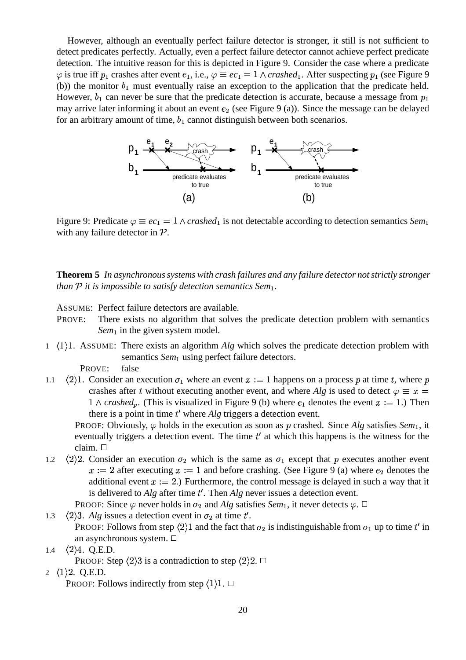However, although an eventually perfect failure detector is stronger, it still is not sufficient to detect predicates perfectly. Actually, even a perfect failure detector cannot achieve perfect predicate detection. The intuitive reason for this is depicted in Figure 9. Consider the case where a predicate  $\varphi$  is true iff  $p_1$  crashes after event  $e_1$ , i.e.,  $\varphi \equiv ec_1 = 1 \wedge crashed_1$ . After suspecting  $p_1$  (see Figure 9 (b)) the monitor  $b_1$  must eventually raise an exception to the application that the predicate held. However,  $b_1$  can never be sure that the predicate detection is accurate, because a message from  $p_1$ may arrive later informing it about an event  $e_2$  (see Figure 9 (a)). Since the message can be delayed for an arbitrary amount of time,  $b_1$  cannot distinguish between both scenarios.



Figure 9: Predicate  $\varphi \equiv e c_1 = 1 \wedge crashed_1$  is not detectable according to detection semantics *Sem*<sub>1</sub> with any failure detector in  $P$ .

**Theorem 5** *In asynchronoussystems with crash failures and any failure detector notstrictly stronger than*  $P$  *it is impossible to satisfy detection semantics Sem*<sub>1</sub>.

ASSUME: Perfect failure detectors are available.

- PROVE: There exists no algorithm that solves the predicate detection problem with semantics Sem<sub>1</sub> in the given system model.
- 1 (1)1. ASSUME: There exists an algorithm *Alg* which solves the predicate detection problem with semantics Sem<sub>1</sub> using perfect failure detectors.

PROVE: false

1.1  $\langle 2 \rangle$ 1. Consider an execution  $\sigma_1$  where an event  $x := 1$  happens on a process p at time t, where crashes after t without executing another event, and where Alg is used to detect  $\varphi \equiv x =$  $1 \wedge crashed_p$ . (This is visualized in Figure 9 (b) where  $e_1$  denotes the event  $x := 1$ .) Then there is a point in time  $t'$  where  $Alg$  triggers a detection event.

PROOF: Obviously,  $\varphi$  holds in the execution as soon as p crashed. Since *Alg* satisfies *Sem*<sub>1</sub>, it eventually triggers a detection event. The time  $t'$  at which this happens is the witness for the claim.

1.2  $\langle 2 \rangle 2$ . Consider an execution  $\sigma_2$  which is the same as  $\sigma_1$  except that p executes another event  $x := 2$  after executing  $x := 1$  and before crashing. (See Figure 9 (a) where  $e_2$  denotes the additional event  $x := 2$ .) Furthermore, the control message is delayed in such a way that it is delivered to  $Alg$  after time  $t'$ . Then  $Alg$  never issues a detection event.

PROOF: Since  $\varphi$  never holds in  $\sigma_2$  and Alg satisfies *Sem*<sub>1</sub>, it never detects  $\varphi$ .  $\Box$ 

1.3  $\langle 2 \rangle$ 3. *Alg* issues a detection event in  $\sigma_2$  at time t'.

PROOF: Follows from step  $\langle 2 \rangle 1$  and the fact that  $\sigma_2$  is indistinguishable from  $\sigma_1$  up to time t' in an asynchronous system.

1.4  $\langle 2 \rangle 4$ . Q.E.D.

PROOF: Step  $\langle 2 \rangle 3$  is a contradiction to step  $\langle 2 \rangle 2$ .  $\Box$ 

2  $\langle 1 \rangle$ 2. Q.E.D.

PROOF: Follows indirectly from step  $\langle 1 \rangle 1$ .  $\Box$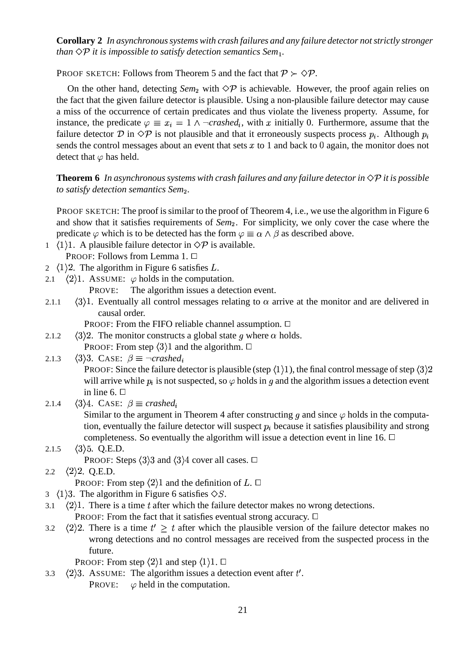**Corollary 2** *In asynchronoussystems with crash failures and any failure detector notstrictly stronger than*  $\Diamond P$  *it is impossible to satisfy detection semantics Sem*<sub>1</sub>.

PROOF SKETCH: Follows from Theorem 5 and the fact that  $P \succ \Diamond P$ .

On the other hand, detecting  $Sem_2$  with  $\Diamond P$  is achievable. However, the proof again relies on the fact that the given failure detector is plausible. Using a non-plausible failure detector may cause a miss of the occurrence of certain predicates and thus violate the liveness property. Assume, for instance, the predicate  $\varphi \equiv x_i = 1 \land \neg \text{crashed}_i$ , with x initially 0. Furthermore, assume that the failure detector D in  $\Diamond P$  is not plausible and that it erroneously suspects process  $p_i$ . Although  $p_i$ sends the control messages about an event that sets  $x$  to 1 and back to 0 again, the monitor does not detect that  $\varphi$  has held.

### **Theorem 6** In asynchronous systems with crash failures and any failure detector in  $\Diamond P$  it is possible *to satisfy detection semantics Sem .*

PROOF SKETCH: The proof is similar to the proof of Theorem 4, i.e., we use the algorithm in Figure 6 and show that it satisfies requirements of *Sem* . For simplicity, we only cover the case where the predicate  $\varphi$  which is to be detected has the form  $\varphi \equiv \alpha \wedge \beta$  as described above.

- 1  $(1)$ 1. A plausible failure detector in  $\Diamond \mathcal{P}$  is available.
- PROOF: Follows from Lemma 1. □
- 2  $\langle 1 \rangle$ 2. The algorithm in Figure 6 satisfies L.
- 2.1  $\langle 2 \rangle$ 1. ASSUME:  $\varphi$  holds in the computation.

PROVE: The algorithm issues a detection event.

2.1.1  $\langle 3 \rangle$ 1. Eventually all control messages relating to  $\alpha$  arrive at the monitor and are delivered in causal order.

PROOF: From the FIFO reliable channel assumption.  $\Box$ 

- 2.1.2  $\langle 3 \rangle$ 2. The monitor constructs a global state g where  $\alpha$  holds. PROOF: From step  $\langle 3 \rangle$ 1 and the algorithm.  $\Box$
- 2.1.3  $\langle 3 \rangle$ 3. CASE:  $\beta \equiv \neg \text{crashed}$ PROOF: Since the failure detector is plausible (step  $\langle 1 \rangle 1$ ), the final control message of step  $\langle 3 \rangle 2$ will arrive while  $p_i$  is not suspected, so  $\varphi$  holds in g and the algorithm issues a detection event in line 6.  $\Box$
- 2.1.4  $\langle 3 \rangle 4$ . CASE:  $\beta \equiv$  *crashed* Similar to the argument in Theorem 4 after constructing g and since  $\varphi$  holds in the computation, eventually the failure detector will suspect  $p_i$  because it satisfies plausibility and strong completeness. So eventually the algorithm will issue a detection event in line 16.  $\Box$
- 2.1.5  $\langle 3 \rangle$ 5. Q.E.D. PROOF: Steps  $\langle 3 \rangle 3$  and  $\langle 3 \rangle 4$  cover all cases.  $\Box$
- 2.2  $\langle 2 \rangle 2$ . Q.E.D.

PROOF: From step  $\langle 2 \rangle 1$  and the definition of L.  $\Box$ 

- 3  $\langle 1 \rangle$ 3. The algorithm in Figure 6 satisfies  $\Diamond S$ .
- 3.1  $\langle 2 \rangle$ 1. There is a time t after which the failure detector makes no wrong detections. PROOF: From the fact that it satisfies eventual strong accuracy.  $\Box$
- 3.2  $\langle 2 \rangle 2$ . There is a time  $t' \geq t$  after which the plausible version of the failure detector makes no wrong detections and no control messages are received from the suspected process in the future.

PROOF: From step  $\langle 2 \rangle 1$  and step  $\langle 1 \rangle 1$ .  $\Box$ 

3.3  $\langle 2 \rangle$ 3. ASSUME: The algorithm issues a detection event after t'. PROVE:  $\varphi$  held in the computation.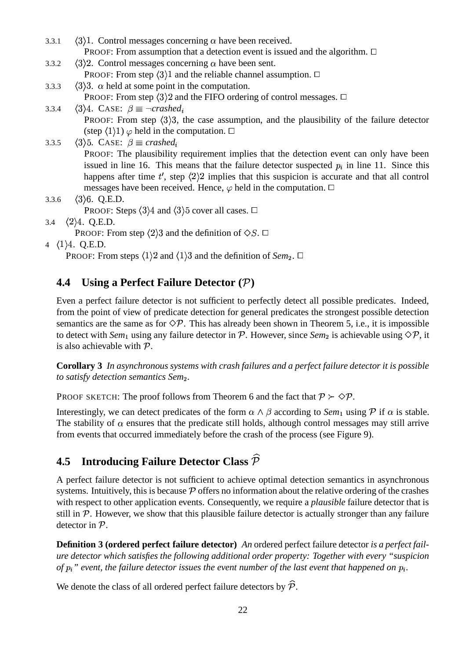- 3.3.1  $\langle 3 \rangle$ 1. Control messages concerning  $\alpha$  have been received. **PROOF:** From assumption that a detection event is issued and the algorithm.  $\Box$
- 3.3.2  $\langle 3 \rangle$ 2. Control messages concerning  $\alpha$  have been sent. PROOF: From step  $\langle 3 \rangle 1$  and the reliable channel assumption.  $\Box$
- 3.3.3  $\langle 3 \rangle$ 3.  $\alpha$  held at some point in the computation. PROOF: From step  $\langle 3 \rangle 2$  and the FIFO ordering of control messages.  $\Box$
- 3.3.4  $\langle 3 \rangle 4$ . CASE:  $\beta \equiv \neg \text{crashed}$ PROOF: From step  $\langle 3 \rangle 3$ , the case assumption, and the plausibility of the failure detector (step  $(1)1)$   $\varphi$  held in the computation.  $\Box$
- 3.3.5  $\langle 3 \rangle$ 5. CASE:  $\beta \equiv$  *crashed* PROOF: The plausibility requirement implies that the detection event can only have been issued in line 16. This means that the failure detector suspected  $p_i$  in line 11. Since this happens after time  $t'$ , step  $\langle 2 \rangle 2$  implies that this suspicion is accurate and that all control messages have been received. Hence,  $\varphi$  held in the computation.  $\Box$
- 3.3.6  $\langle 3 \rangle$ 6. Q.E.D. PROOF: Steps  $\langle 3 \rangle 4$  and  $\langle 3 \rangle 5$  cover all cases.  $\Box$
- 3.4  $\langle 2 \rangle 4$ . Q.E.D.
	- PROOF: From step  $\langle 2 \rangle 3$  and the definition of  $\diamondsuit S$ .  $\Box$
- 4  $\langle 1 \rangle 4$ . Q.E.D.

PROOF: From steps  $\langle 1 \rangle 2$  and  $\langle 1 \rangle 3$  and the definition of *Sem*<sub>2</sub>.  $\Box$ 

# **4.4 Using a Perfect Failure Detector ( )**

Even a perfect failure detector is not sufficient to perfectly detect all possible predicates. Indeed, from the point of view of predicate detection for general predicates the strongest possible detection semantics are the same as for  $\Diamond \mathcal{P}$ . This has already been shown in Theorem 5, i.e., it is impossible to detect with  $Sem_1$  using any failure detector in  $P$ . However, since  $Sem_2$  is achievable using  $\Diamond P$ , it is also achievable with  $P$ .

**Corollary 3** *In asynchronous systems with crash failures and a perfect failure detector it is possible to satisfy detection semantics Sem .*

PROOF SKETCH: The proof follows from Theorem 6 and the fact that  $P \succ Q$ .

Interestingly, we can detect predicates of the form  $\alpha \wedge \beta$  according to *Sem*<sub>1</sub> using  $\mathcal P$  if  $\alpha$  is stable. The stability of  $\alpha$  ensures that the predicate still holds, although control messages may still arrive from events that occurred immediately before the crash of the process (see Figure 9).

# **4.5 Introducing Failure Detector Class**

A perfect failure detector is not sufficient to achieve optimal detection semantics in asynchronous systems. Intuitively, this is because  $\mathcal P$  offers no information about the relative ordering of the crashes with respect to other application events. Consequently, we require a *plausible* failure detector that is still in  $P$ . However, we show that this plausible failure detector is actually stronger than any failure detector in  $P$ .

**Definition 3 (ordered perfect failure detector)** *An* ordered perfect failure detector *is a perfect failure detector which satisfies the following additional order property: Together with every "suspicion* of  $p_i$ " event, the failure detector issues the event number of the last event that happened on  $p_i$ .

We denote the class of all ordered perfect failure detectors by  $\hat{\mathcal{P}}$ .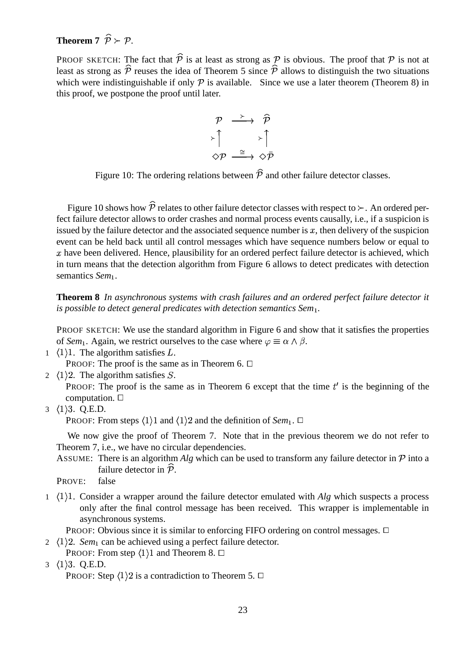# **Theorem 7**  $\hat{\mathcal{D}} \succ \mathcal{D}$

PROOF SKETCH: The fact that  $\hat{P}$  is at least as strong as  $P$  is obvious. The proof that  $P$  is not at least as strong as  $\hat{p}$  reuses the idea of Theorem 5 since  $\hat{p}$  allows to distinguish the two situations which were indistinguishable if only  $\mathcal P$  is available. Since we use a later theorem (Theorem 8) in this proof, we postpone the proof until later.

$$
\begin{array}{ccc}\n\mathcal{P} & \xrightarrow{\succ} & \widehat{\mathcal{P}} \\
\downarrow^{\uparrow} & & \downarrow^{\uparrow} \\
\diamond \mathcal{P} & \xrightarrow{\cong} & \diamond \bar{\mathcal{P}}\n\end{array}
$$

Figure 10: The ordering relations between  $\hat{\mathcal{P}}$  and other failure detector classes.

Figure 10 shows how  $\hat{P}$  relates to other failure detector classes with respect to  $\succ$ . An ordered perfect failure detector allows to order crashes and normal process events causally, i.e., if a suspicion is issued by the failure detector and the associated sequence number is  $x$ , then delivery of the suspicion event can be held back until all control messages which have sequence numbers below or equal to  $x$  have been delivered. Hence, plausibility for an ordered perfect failure detector is achieved, which in turn means that the detection algorithm from Figure 6 allows to detect predicates with detection semantics *Sem*<sub>1</sub>.

**Theorem 8** *In asynchronous systems with crash failures and an ordered perfect failure detector it is possible to detect general predicates with detection semantics Sem .*

PROOF SKETCH: We use the standard algorithm in Figure 6 and show that it satisfies the properties of *Sem*<sub>1</sub>. Again, we restrict ourselves to the case where  $\varphi \equiv \alpha \wedge \beta$ .

1  $\langle 1 \rangle$ 1. The algorithm satisfies L.

PROOF: The proof is the same as in Theorem 6.  $\Box$ 

2  $\langle 1 \rangle$  2. The algorithm satisfies S.

PROOF: The proof is the same as in Theorem 6 except that the time  $t'$  is the beginning of the computation.

 $3 \langle 1 \rangle 3$ . Q.E.D.

PROOF: From steps  $\langle 1 \rangle 1$  and  $\langle 1 \rangle 2$  and the definition of *Sem*<sub>1</sub>.  $\Box$ 

We now give the proof of Theorem 7. Note that in the previous theorem we do not refer to Theorem 7, i.e., we have no circular dependencies.

- ASSUME: There is an algorithm *Alg* which can be used to transform any failure detector in  $\mathcal{P}$  into a failure detector in  $\tilde{\mathcal{P}}$ .
- PROVE: false
- 1 (1)1. Consider a wrapper around the failure detector emulated with *Alg* which suspects a process only after the final control message has been received. This wrapper is implementable in asynchronous systems.

**PROOF:** Obvious since it is similar to enforcing FIFO ordering on control messages.  $\Box$ 

- 2  $\langle 1 \rangle$ 2. *Sem*<sub>1</sub> can be achieved using a perfect failure detector.
	- PROOF: From step  $\langle 1 \rangle 1$  and Theorem 8.  $\Box$
- 3  $\langle 1 \rangle$ 3. Q.E.D.

PROOF: Step  $\langle 1 \rangle 2$  is a contradiction to Theorem 5.  $\Box$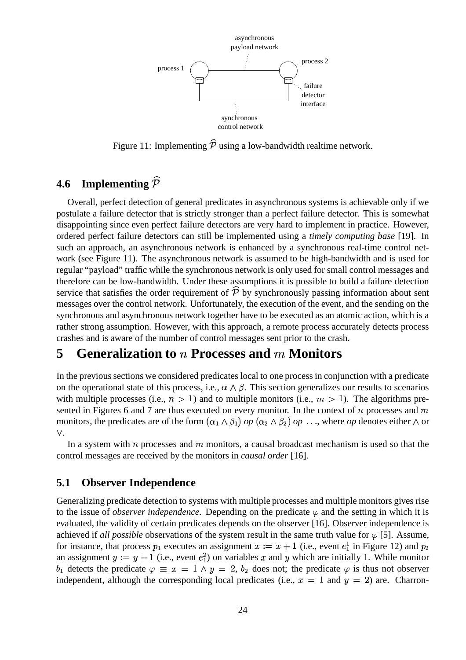

Figure 11: Implementing  $\hat{p}$  using a low-bandwidth realtime network.

# **4.6 Implementing**

Overall, perfect detection of general predicates in asynchronous systems is achievable only if we postulate a failure detector that is strictly stronger than a perfect failure detector. This is somewhat disappointing since even perfect failure detectors are very hard to implement in practice. However, ordered perfect failure detectors can still be implemented using a *timely computing base* [19]. In such an approach, an asynchronous network is enhanced by a synchronous real-time control network (see Figure 11). The asynchronous network is assumed to be high-bandwidth and is used for regular "payload" traffic while the synchronous network is only used for small control messages and therefore can be low-bandwidth. Under these assumptions it is possible to build a failure detection service that satisfies the order requirement of  $\hat{\mathcal{P}}$  by synchronously passing information about sent messages over the control network. Unfortunately, the execution of the event, and the sending on the synchronous and asynchronous network together have to be executed as an atomic action, which is a rather strong assumption. However, with this approach, a remote process accurately detects process crashes and is aware of the number of control messages sent prior to the crash.

# **5 Generalization to Processes and Monitors**

In the previous sections we considered predicates local to one process in conjunction with a predicate on the operational state of this process, i.e.,  $\alpha \wedge \beta$ . This section generalizes our results to scenarios with multiple processes (i.e.,  $n > 1$ ) and to multiple monitors (i.e.,  $m > 1$ ). The algorithms presented in Figures 6 and 7 are thus executed on every monitor. In the context of  $n$  processes and  $m$ monitors, the predicates are of the form  $(\alpha_1 \wedge \beta_1)$  *op*  $(\alpha_2 \wedge \beta_2)$  *op* ..., where *op* denotes either  $\wedge$  or .

In a system with  $n$  processes and  $m$  monitors, a causal broadcast mechanism is used so that the control messages are received by the monitors in *causal order* [16].

### **5.1 Observer Independence**

Generalizing predicate detection to systems with multiple processes and multiple monitors gives rise to the issue of *observer independence*. Depending on the predicate  $\varphi$  and the setting in which it is evaluated, the validity of certain predicates depends on the observer [16]. Observer independence is achieved if *all possible* observations of the system result in the same truth value for  $\varphi$  [5]. Assume, for instance, that process  $p_1$  executes an assignment  $x := x + 1$  (i.e., event  $e_1^1$  in Figure 12) and  $p_2$ an assignment  $y := y + 1$  (i.e., event  $e_1^2$ ) on variables x and y which are initially 1. While monitor  $b_1$  detects the predicate  $\varphi \equiv x = 1 \wedge y = 2$ ,  $b_2$  does not; the predicate  $\varphi$  is thus not observer independent, although the corresponding local predicates (i.e.,  $x = 1$  and  $y = 2$ ) are. Charron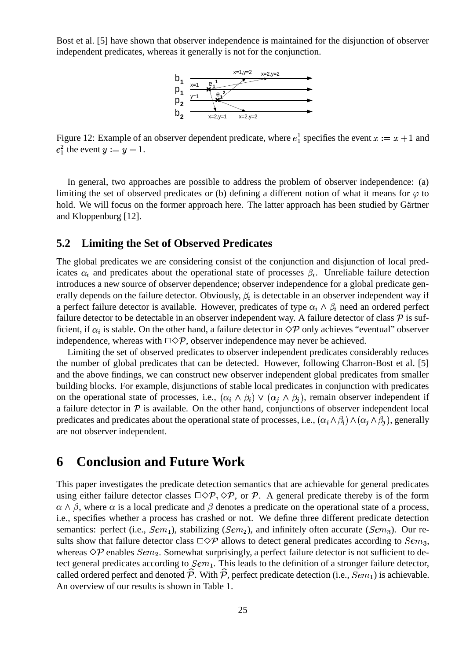Bost et al. [5] have shown that observer independence is maintained for the disjunction of observer independent predicates, whereas it generally is not for the conjunction.



Figure 12: Example of an observer dependent predicate, where  $e_1^1$  specifies the event  $x := x + 1$  and  $e_1^2$  the event  $y := y + 1$ .

In general, two approaches are possible to address the problem of observer independence: (a) limiting the set of observed predicates or (b) defining a different notion of what it means for  $\varphi$  to hold. We will focus on the former approach here. The latter approach has been studied by Gärtner and Kloppenburg [12].

### **5.2 Limiting the Set of Observed Predicates**

The global predicates we are considering consist of the conjunction and disjunction of local predicates  $\alpha_i$  and predicates about the operational state of processes  $\beta_i$ . Unreliable failure detection introduces a new source of observer dependence; observer independence for a global predicate generally depends on the failure detector. Obviously,  $\beta_i$  is detectable in an observer independent way if a perfect failure detector is available. However, predicates of type  $\alpha_i \wedge \beta_i$  need an ordered perfect failure detector to be detectable in an observer independent way. A failure detector of class  $\mathcal P$  is sufficient, if  $\alpha_i$  is stable. On the other hand, a failure detector in  $\Diamond \mathcal{P}$  only achieves "eventual" observer independence, whereas with  $\Box \Diamond \mathcal{P}$ , observer independence may never be achieved.

Limiting the set of observed predicates to observer independent predicates considerably reduces the number of global predicates that can be detected. However, following Charron-Bost et al. [5] and the above findings, we can construct new observer independent global predicates from smaller building blocks. For example, disjunctions of stable local predicates in conjunction with predicates on the operational state of processes, i.e.,  $(\alpha_i \wedge \beta_i) \vee (\alpha_j \wedge \beta_j)$ , remain observer independent if a failure detector in  $P$  is available. On the other hand, conjunctions of observer independent local predicates and predicates about the operational state of processes, i.e.,  $(\alpha_i \wedge \beta_i) \wedge (\alpha_j \wedge \beta_j)$ , generally are not observer independent.

# **6 Conclusion and Future Work**

This paper investigates the predicate detection semantics that are achievable for general predicates using either failure detector classes  $\Box \Diamond \mathcal{P}, \Diamond \mathcal{P}$ , or  $\mathcal{P}$ . A general predicate thereby is of the form  $\alpha \wedge \beta$ , where  $\alpha$  is a local predicate and  $\beta$  denotes a predicate on the operational state of a process, i.e., specifies whether a process has crashed or not. We define three different predicate detection semantics: perfect (i.e.,  $Sem_1$ ), stabilizing ( $Sem_2$ ), and infinitely often accurate ( $Sem_3$ ). Our results show that failure detector class  $\Box \Diamond \mathcal{P}$  allows to detect general predicates according to  $Sem_3$ , whereas  $\Diamond P$  enables  $Sem_2$ . Somewhat surprisingly, a perfect failure detector is not sufficient to detect general predicates according to  $Sem_1$ . This leads to the definition of a stronger failure detector, called ordered perfect and denoted  $\widehat{\mathcal{P}}$ . With  $\widehat{\mathcal{P}}$ , perfect predicate detection (i.e.,  $Sem_1)$  is achievable. An overview of our results is shown in Table 1.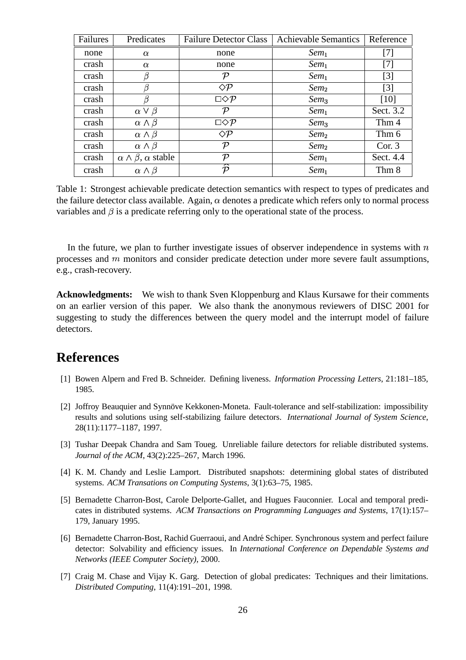| Failures | Predicates                              | <b>Failure Detector Class</b> | <b>Achievable Semantics</b> | Reference         |
|----------|-----------------------------------------|-------------------------------|-----------------------------|-------------------|
| none     | $\alpha$                                | none                          | $Sem_1$                     | $[7]$             |
| crash    | $\alpha$                                | none                          | $Sem_1$                     | $[7]$             |
| crash    | β                                       | ν                             | $Sem_1$                     | $[3]$             |
| crash    | β                                       | $\Diamond P$                  | Sem <sub>2</sub>            | $\lceil 3 \rceil$ |
| crash    |                                         | $\square \Diamond P$          | Sem <sub>3</sub>            | [10]              |
| crash    | $\alpha \vee \beta$                     | ν                             | $Sem_1$                     | Sect. 3.2         |
| crash    | $\alpha \wedge \beta$                   | $\square \Diamond P$          | Sem <sub>3</sub>            | Thm 4             |
| crash    | $\alpha \wedge \beta$                   | $\Diamond \mathcal{P}$        | Sem <sub>2</sub>            | Thm 6             |
| crash    | $\alpha \wedge \beta$                   | ${\cal P}$                    | $Sem_2$                     | Cor. 3            |
| crash    | $\alpha \wedge \beta$ , $\alpha$ stable | ${\cal P}$                    | $Sem_1$                     | Sect. 4.4         |
| crash    | $\alpha \wedge \beta$                   | D                             | $Sem_1$                     | Thm 8             |

Table 1: Strongest achievable predicate detection semantics with respect to types of predicates and the failure detector class available. Again,  $\alpha$  denotes a predicate which refers only to normal process variables and  $\beta$  is a predicate referring only to the operational state of the process.

In the future, we plan to further investigate issues of observer independence in systems with  $n$ processes and  $m$  monitors and consider predicate detection under more severe fault assumptions, e.g., crash-recovery.

**Acknowledgments:** We wish to thank Sven Kloppenburg and Klaus Kursawe for their comments on an earlier version of this paper. We also thank the anonymous reviewers of DISC 2001 for suggesting to study the differences between the query model and the interrupt model of failure detectors.

# **References**

- [1] Bowen Alpern and Fred B. Schneider. Defining liveness. *Information Processing Letters*, 21:181–185, 1985.
- [2] Joffroy Beauquier and Synnöve Kekkonen-Moneta. Fault-tolerance and self-stabilization: impossibility results and solutions using self-stabilizing failure detectors. *International Journal of System Science*, 28(11):1177–1187, 1997.
- [3] Tushar Deepak Chandra and Sam Toueg. Unreliable failure detectors for reliable distributed systems. *Journal of the ACM*, 43(2):225–267, March 1996.
- [4] K. M. Chandy and Leslie Lamport. Distributed snapshots: determining global states of distributed systems. *ACM Transations on Computing Systems*, 3(1):63–75, 1985.
- [5] Bernadette Charron-Bost, Carole Delporte-Gallet, and Hugues Fauconnier. Local and temporal predicates in distributed systems. *ACM Transactions on Programming Languages and Systems*, 17(1):157– 179, January 1995.
- [6] Bernadette Charron-Bost, Rachid Guerraoui, and André Schiper. Synchronous system and perfect failure detector: Solvability and efficiency issues. In *International Conference on Dependable Systems and Networks (IEEE Computer Society)*, 2000.
- [7] Craig M. Chase and Vijay K. Garg. Detection of global predicates: Techniques and their limitations. *Distributed Computing*, 11(4):191–201, 1998.